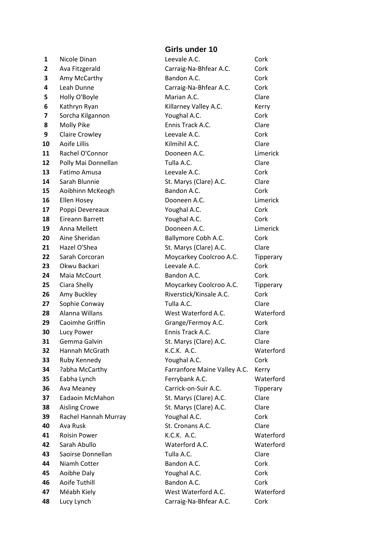#### **Girls under 10**

 Nicole Dinan **Leevale A.C.** Cork Ava Fitzgerald **Carraig-Na-Bhfear A.C.** Cork Amy McCarthy **Bandon A.C.** Cork Leah Dunne **Carraig-Na-Bhfear A.C.** Cork Holly O'Boyle **Marian A.C.** Clare Kathryn Ryan **Killarney Valley A.C.** Kerry Sorcha Kilgannon **Communist Voughal A.C.** Cork Molly Pike **Ennis Track A.C.** Clare Claire Crowley **Consulted A.C.** Cork Aoife Lillis **10 Aoife Lillis 10 Aoife Lillis Clare Kilmihil A.C. Clare**  Rachel O'Connor Dooneen A.C. Limerick Polly Mai Donnellan Tulla A.C. Clare Fatimo Amusa **Company** Leevale A.C. Cork Sarah Blunnie **St. Marys (Clare) A.C.** Clare Aoibhinn McKeogh Bandon A.C. Cork Ellen Hosey **Dooneen A.C.** Limerick Poppi Devereaux **Voughal A.C.** Cork Eireann Barrett **The Youghal A.C.** Cork Anna Mellett Dooneen A.C. Limerick Aine Sheridan **Ballymore Cobh A.C.** Cork Hazel O'Shea St. Marys (Clare) A.C. Clare Sarah Corcoran Moycarkey Coolcroo A.C. Tipperary Okwu Backari **Leevale A.C.** Cork Maia McCourt **Bandon A.C.** Cork Ciara Shelly **Coolcroo A.C.** Tipperary Amy Buckley **Riverstick/Kinsale A.C.** Cork Sophie Conway **Tulla A.C.** Clare Alanna Willans West Waterford A.C. Waterford Caoimhe Griffin Grange/Fermoy A.C. Cork Lucy Power **Ennis Track A.C.** Clare Gemma Galvin St. Marys (Clare) A.C. Clare Hannah McGrath K.C.K. A.C. Waterford Ruby Kennedy **Communist Constructs** Youghal A.C. Cork ?abha McCarthy Farranfore Maine Valley A.C. Kerry Eabha Lynch **Ferrybank A.C.** Waterford Ava Meaney Carrick-on-Suir A.C. Tipperary Eadaoin McMahon St. Marys (Clare) A.C. Clare Aisling Crowe St. Marys (Clare) A.C. Clare Rachel Hannah Murray **Youghal A.C.** Cork Ava Rusk St. Cronans A.C. Clare Roisin Power K.C.K. A.C. Waterford Sarah Abullo Waterford A.C. Waterford Saoirse Donnellan **Clare** Tulla A.C. Clare Niamh Cotter **1988** Bandon A.C. Cork Aoibhe Daly **Communist Constructs Constructs** Youghal A.C. **Constructs** Construct Aoife Tuthill Bandon A.C. Cork Méabh Kiely **Materford A.C.** West Waterford A.C. Lucy Lynch Carraig-Na-Bhfear A.C. Cork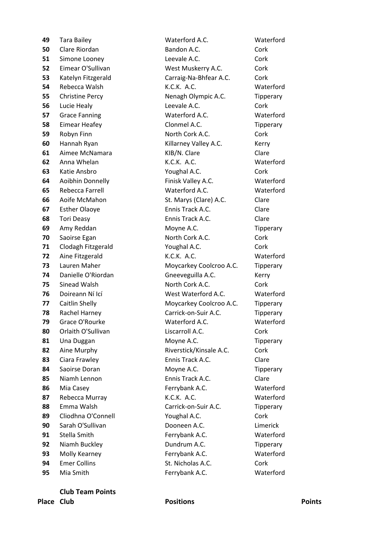Mia Smith Ferrybank A.C. Waterford

#### Tara Bailey Waterford A.C. Waterford Clare Riordan **Bandon A.C.** Cork Simone Looney Leevale A.C. Cork Eimear O'Sullivan West Muskerry A.C. Cork Katelyn Fitzgerald **Carraig-Na-Bhfear A.C.** Cork Rebecca Walsh **K.C.K. A.C.** Waterford Christine Percy **Nenagh Olympic A.C.** Tipperary Lucie Healy **Leevale A.C.** Cork Grace Fanning Waterford A.C. Waterford Eimear Heafey **Clonmel A.C.** Tipperary Robyn Finn **North Cork A.C.** Cork Hannah Ryan **Killarney Valley A.C.** Kerry Aimee McNamara **Clare** KIB/N. Clare **Clare** Clare Anna Whelan K.C.K. A.C. Waterford Katie Ansbro **Community Constant A.C.** Cork Aoibhin Donnelly Finisk Valley A.C. Waterford Rebecca Farrell Waterford A.C. Waterford Aoife McMahon St. Marys (Clare) A.C. Clare Esther Olaove **Ennis Track A.C.** Clare Tori Deasy **Ennis Track A.C.** Clare Amy Reddan Moyne A.C. Tipperary Saoirse Egan **North Cork A.C.** Cork Clodagh Fitzgerald **Constructs** Youghal A.C. Cork Aine Fitzgerald K.C.K. A.C. Waterford Lauren Maher Moycarkey Coolcroo A.C. Tipperary Danielle O'Riordan Gneeveguilla A.C. Kerry Sinead Walsh **North Cork A.C.** Cork Doireann Ní Icí **West Waterford A.C.** Waterford Caitlin Shelly **Moycarkey Coolcroo A.C.** Tipperary Rachel Harney **Carrick-on-Suir A.C.** Tipperary Grace O'Rourke Waterford A.C. Waterford Orlaith O'Sullivan **Constanting Liscarroll A.C.** Cork 81 Una Duggan Moyne A.C. Tipperary Aine Murphy **Riverstick/Kinsale A.C.** Cork Ciara Frawley **Ennis Track A.C.** Clare 84 Saoirse Doran Moyne A.C. Tipperary Niamh Lennon **Ennis Track A.C.** Clare Mia Casey **Ferrybank A.C.** Waterford Rebecca Murray K.C.K. A.C. Waterford Emma Walsh Carrick-on-Suir A.C. Tipperary Cliodhna O'Connell **Connell** Youghal A.C. Cork Sarah O'Sullivan **Dooneen A.C. Limerick**  Stella Smith **Ferrybank A.C.** Waterford Niamh Buckley **Dundrum A.C.** Tipperary Molly Kearney Ferrybank A.C. Waterford Emer Collins **St. Nicholas A.C.** Cork

#### **Club Team Points**

**Place Club Positions Points**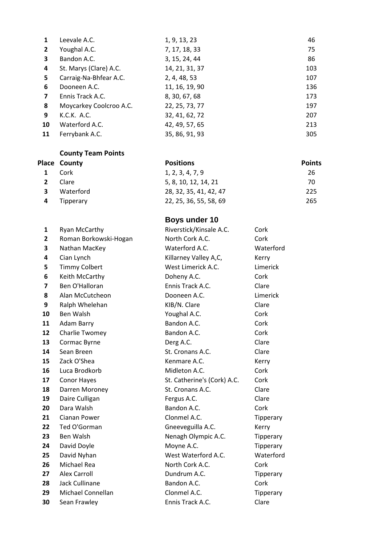| 1              | Leevale A.C.            | 1, 9, 13, 23   | 46  |
|----------------|-------------------------|----------------|-----|
| $\mathbf{2}$   | Youghal A.C.            | 7, 17, 18, 33  | 75  |
| 3              | Bandon A.C.             | 3, 15, 24, 44  | 86  |
| 4              | St. Marys (Clare) A.C.  | 14, 21, 31, 37 | 103 |
| 5              | Carraig-Na-Bhfear A.C.  | 2, 4, 48, 53   | 107 |
| 6              | Dooneen A.C.            | 11, 16, 19, 90 | 136 |
| $\overline{7}$ | Ennis Track A.C.        | 8, 30, 67, 68  | 173 |
| 8              | Moycarkey Coolcroo A.C. | 22, 25, 73, 77 | 197 |
| 9              | K.C.K. A.C.             | 32, 41, 62, 72 | 207 |
| 10             | Waterford A.C.          | 42, 49, 57, 65 | 213 |
| 11             | Ferrybank A.C.          | 35, 86, 91, 93 | 305 |

|   | Place County | <b>Positions</b>       | <b>Points</b> |
|---|--------------|------------------------|---------------|
|   | Cork         | 1, 2, 3, 4, 7, 9       | 26            |
| 2 | Clare        | 5, 8, 10, 12, 14, 21   | 70            |
|   | Waterford    | 28, 32, 35, 41, 42, 47 | 225           |
|   | Tipperary    | 22, 25, 36, 55, 58, 69 | 265           |

# **Boys under 10**

| 1                       | Ryan McCarthy         | Riverstick/Kinsale A.C.     | Cork      |
|-------------------------|-----------------------|-----------------------------|-----------|
| 2                       | Roman Borkowski-Hogan | North Cork A.C.             | Cork      |
| 3                       | Nathan MacKey         | Waterford A.C.              | Waterford |
| 4                       | Cian Lynch            | Killarney Valley A,C,       | Kerry     |
| 5                       | <b>Timmy Colbert</b>  | West Limerick A.C.          | Limerick  |
| 6                       | Keith McCarthy        | Doheny A.C.                 | Cork      |
| $\overline{\mathbf{z}}$ | Ben O'Halloran        | Ennis Track A.C.            | Clare     |
| 8                       | Alan McCutcheon       | Dooneen A.C.                | Limerick  |
| 9                       | Ralph Whelehan        | KIB/N. Clare                | Clare     |
| 10                      | Ben Walsh             | Youghal A.C.                | Cork      |
| 11                      | Adam Barry            | Bandon A.C.                 | Cork      |
| 12                      | Charlie Twomey        | Bandon A.C.                 | Cork      |
| 13                      | Cormac Byrne          | Derg A.C.                   | Clare     |
| 14                      | Sean Breen            | St. Cronans A.C.            | Clare     |
| 15                      | Zack O'Shea           | Kenmare A.C.                | Kerry     |
| 16                      | Luca Brodkorb         | Midleton A.C.               | Cork      |
| 17                      | Conor Hayes           | St. Catherine's (Cork) A.C. | Cork      |
| 18                      | Darren Moroney        | St. Cronans A.C.            | Clare     |
| 19                      | Daire Culligan        | Fergus A.C.                 | Clare     |
| 20                      | Dara Walsh            | Bandon A.C.                 | Cork      |
| 21                      | Cianan Power          | Clonmel A.C.                | Tipperary |
| 22                      | Ted O'Gorman          | Gneeveguilla A.C.           | Kerry     |
| 23                      | <b>Ben Walsh</b>      | Nenagh Olympic A.C.         | Tipperary |
| 24                      | David Doyle           | Moyne A.C.                  | Tipperary |
| 25                      | David Nyhan           | West Waterford A.C.         | Waterford |
| 26                      | Michael Rea           | North Cork A.C.             | Cork      |
| 27                      | <b>Alex Carroll</b>   | Dundrum A.C.                | Tipperary |
| 28                      | Jack Cullinane        | Bandon A.C.                 | Cork      |
| 29                      | Michael Connellan     | Clonmel A.C.                | Tipperary |
| 30                      | Sean Frawley          | Ennis Track A.C.            | Clare     |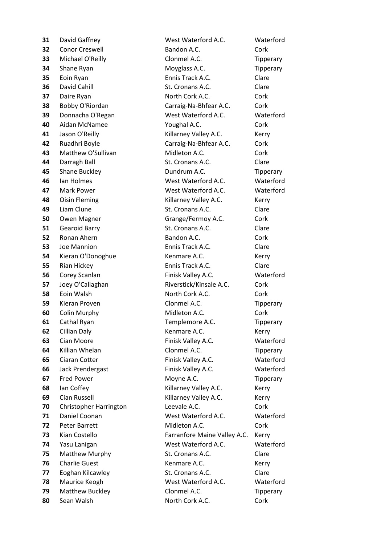Conor Creswell **Bandon A.C.** Cork Michael O'Reilly **Clonmel A.C.** Tipperary Shane Ryan Moyglass A.C. Tipperary Eoin Ryan **Ennis Track A.C.** Clare David Cahill **St. Cronans A.C.** Clare Daire Ryan North Cork A.C. Cork Bobby O'Riordan **Carraig-Na-Bhfear A.C.** Cork Donnacha O'Regan West Waterford A.C. Waterford Aidan McNamee **Xoughal A.C.** Cork Jason O'Reilly **A.C.** Killarney Valley A.C. Kerry Ruadhri Boyle Carraig-Na-Bhfear A.C. Cork Matthew O'Sullivan Midleton A.C. Cork Darragh Ball St. Cronans A.C. Clare Shane Buckley Dundrum A.C. Tipperary Ian Holmes West Waterford A.C. Waterford Mark Power West Waterford A.C. Waterford Oisin Fleming **Killarney Valley A.C.** Kerry Liam Clune **St. Cronans A.C.** Clare Owen Magner **Grange/Fermoy A.C.** Cork Gearoid Barry **St. Cronans A.C.** Clare Ronan Ahern **Bandon A.C.** Cork Joe Mannion Ennis Track A.C. Clare Kieran O'Donoghue Kenmare A.C. Kerry Rian Hickey **Ennis Track A.C.** Clare Corey Scanlan **Finisk Valley A.C.** Waterford Joey O'Callaghan **Riverstick/Kinsale A.C.** Cork Eoin Walsh North Cork A.C. Cork Kieran Proven **Clonmel A.C.** Tipperary Colin Murphy **Midleton A.C.** Cork Cathal Ryan **Templemore A.C.** Tipperary Cillian Daly **Kenmare A.C.** Kerry Cian Moore **Finisk Valley A.C.** Waterford Killian Whelan Clonmel A.C. Tipperary Ciaran Cotter **Finisk Valley A.C.** Waterford Jack Prendergast Finisk Valley A.C. Waterford Fred Power **Moyne A.C.** Tipperary Ian Coffey **Killarney Valley A.C.** Kerry Cian Russell **Conservent Conservent Conservent Conservent Conservent Conservent Conservent Conservent Conservent Conservent Conservent Conservent Conservent Conservent Conservent Conservent Conservent Conservent Conse**  Christopher Harrington Leevale A.C. Cork Daniel Coonan West Waterford A.C. Waterford Peter Barrett **Midleton A.C.** Cork Kian Costello **Farranfore Maine Valley A.C.** Kerry Yasu Lanigan West Waterford A.C. Waterford Matthew Murphy St. Cronans A.C. Clare Charlie Guest **Kenmare A.C.** Kerry Eoghan Kilcawley St. Cronans A.C. Clare Maurice Keogh West Waterford A.C. Waterford Matthew Buckley Clonmel A.C. Tipperary Sean Walsh **North Cork A.C.** Cork

David Gaffney West Waterford A.C. Waterford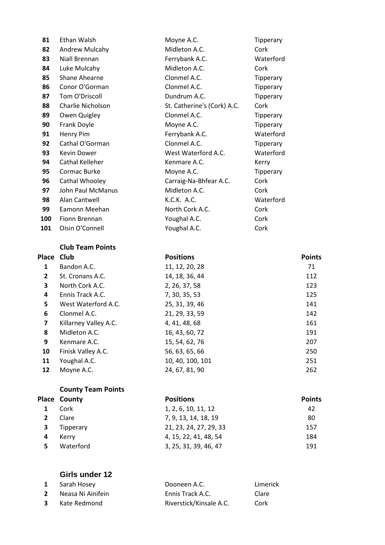| 81  | Ethan Walsh       | Moyne A.C.                  | Tipperary |
|-----|-------------------|-----------------------------|-----------|
| 82  | Andrew Mulcahy    | Midleton A.C.               | Cork      |
| 83  | Niall Brennan     | Ferrybank A.C.              | Waterford |
| 84  | Luke Mulcahy      | Midleton A.C.               | Cork      |
| 85  | Shane Ahearne     | Clonmel A.C.                | Tipperary |
| 86  | Conor O'Gorman    | Clonmel A.C.                | Tipperary |
| 87  | Tom O'Driscoll    | Dundrum A.C.                | Tipperary |
| 88  | Charlie Nicholson | St. Catherine's (Cork) A.C. | Cork      |
| 89  | Owen Quigley      | Clonmel A.C.                | Tipperary |
| 90  | Frank Doyle       | Moyne A.C.                  | Tipperary |
| 91  | Henry Pim         | Ferrybank A.C.              | Waterford |
| 92  | Cathal O'Gorman   | Clonmel A.C.                | Tipperary |
| 93  | Kevin Dower       | West Waterford A.C.         | Waterford |
| 94  | Cathal Kelleher   | Kenmare A.C.                | Kerry     |
| 95  | Cormac Burke      | Moyne A.C.                  | Tipperary |
| 96  | Cathal Whooley    | Carraig-Na-Bhfear A.C.      | Cork      |
| 97  | John Paul McManus | Midleton A.C.               | Cork      |
| 98  | Alan Cantwell     | K.C.K. A.C.                 | Waterford |
| 99  | Eamonn Meehan     | North Cork A.C.             | Cork      |
| 100 | Fionn Brennan     | Youghal A.C.                | Cork      |
| 101 | Oisin O'Connell   | Youghal A.C.                | Cork      |

#### **Club Team Points**

| Place Club              |                       | <b>Positions</b> | <b>Points</b> |
|-------------------------|-----------------------|------------------|---------------|
| 1                       | Bandon A.C.           | 11, 12, 20, 28   | 71            |
| $\mathbf{2}$            | St. Cronans A.C.      | 14, 18, 36, 44   | 112           |
| 3                       | North Cork A.C.       | 2, 26, 37, 58    | 123           |
| 4                       | Ennis Track A.C.      | 7, 30, 35, 53    | 125           |
| 5                       | West Waterford A.C.   | 25, 31, 39, 46   | 141           |
| 6                       | Clonmel A.C.          | 21, 29, 33, 59   | 142           |
| $\overline{\mathbf{z}}$ | Killarney Valley A.C. | 4, 41, 48, 68    | 161           |
| 8                       | Midleton A.C.         | 16, 43, 60, 72   | 191           |
| 9                       | Kenmare A.C.          | 15, 54, 62, 76   | 207           |
| 10                      | Finisk Valley A.C.    | 56, 63, 65, 66   | 250           |
| 11                      | Youghal A.C.          | 10, 40, 100, 101 | 251           |
| 12                      | Moyne A.C.            | 24, 67, 81, 90   | 262           |

# **County Team Points**

| <b>Place County</b> | <b>Positions</b>       | <b>Points</b> |
|---------------------|------------------------|---------------|
| Cork                | 1, 2, 6, 10, 11, 12    | 42            |
| Clare               | 7, 9, 13, 14, 18, 19   | 80            |
| Tipperary           | 21, 23, 24, 27, 29, 33 | 157           |
| Kerry               | 4, 15, 22, 41, 48, 54  | 184           |
| Waterford           | 3, 25, 31, 39, 46, 47  | 191           |

# **Girls under 12**

|              | <b>1</b> Sarah Hosey  | Dooneen A.C.            | Limerick |
|--------------|-----------------------|-------------------------|----------|
| $\mathbf{2}$ | Neasa Ni Ainifein     | Ennis Track A.C.        | Clare    |
|              | <b>3</b> Kate Redmond | Riverstick/Kinsale A.C. | Cork     |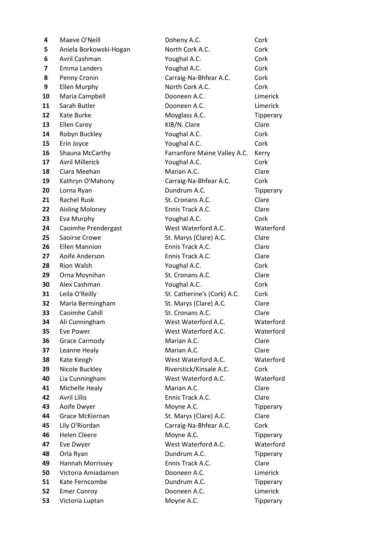| 4  | Maeve O'Neill          | Doheny A.C.                  | Cork      |
|----|------------------------|------------------------------|-----------|
| 5. | Aniela Borkowski-Hogan | North Cork A.C.              | Cork      |
| 6  | Avril Cashman          | Youghal A.C.                 | Cork      |
| 7  | Emma Landers           | Youghal A.C.                 | Cork      |
| 8  | Penny Cronin           | Carraig-Na-Bhfear A.C.       | Cork      |
| 9  | <b>Ellen Murphy</b>    | North Cork A.C.              | Cork      |
| 10 | Maria Campbell         | Dooneen A.C.                 | Limerick  |
| 11 | Sarah Butler           | Dooneen A.C.                 | Limerick  |
| 12 | Kate Burke             | Moyglass A.C.                | Tipperary |
| 13 | <b>Ellen Carey</b>     | KIB/N. Clare                 | Clare     |
| 14 | Robyn Buckley          | Youghal A.C.                 | Cork      |
| 15 | Erin Joyce             | Youghal A.C.                 | Cork      |
| 16 | Shauna McCarthy        | Farranfore Maine Valley A.C. | Kerry     |
| 17 | <b>Avril Millerick</b> | Youghal A.C.                 | Cork      |
| 18 | Ciara Meehan           | Marian A.C.                  | Clare     |
| 19 | Kathryn O'Mahony       | Carraig-Na-Bhfear A.C.       | Cork      |
| 20 | Lorna Ryan             | Dundrum A.C.                 | Tipperary |
| 21 | <b>Rachel Rusk</b>     | St. Cronans A.C.             | Clare     |
| 22 | <b>Aisling Moloney</b> | Ennis Track A.C.             | Clare     |
| 23 | Eva Murphy             | Youghal A.C.                 | Cork      |
| 24 | Caoimhe Prendergast    | West Waterford A.C.          | Waterford |
| 25 | Saoirse Crowe          | St. Marys (Clare) A.C.       | Clare     |
| 26 | <b>Ellen Mannion</b>   | Ennis Track A.C.             | Clare     |
| 27 | Aoife Anderson         | Ennis Track A.C.             | Clare     |
| 28 | <b>Rion Walsh</b>      | Youghal A.C.                 | Cork      |
| 29 | Orna Moynihan          | St. Cronans A.C.             | Clare     |
| 30 | Alex Cashman           | Youghal A.C.                 | Cork      |
| 31 | Leila O'Reilly         | St. Catherine's (Cork) A.C.  | Cork      |
| 32 | Maria Bermingham       | St. Marys (Clare) A.C.       | Clare     |
| 33 | Caoimhe Cahill         | St. Cronans A.C.             | Clare     |
| 34 | Ali Cunningham         | West Waterford A.C.          | Waterford |
| 35 | <b>Eve Power</b>       | West Waterford A.C.          | Waterford |
| 36 | <b>Grace Carmody</b>   | Marian A.C.                  | Clare     |
| 37 | Leanne Healy           | Marian A.C.                  | Clare     |
| 38 | Kate Keogh             | West Waterford A.C.          | Waterford |
| 39 | Nicole Buckley         | Riverstick/Kinsale A.C.      | Cork      |
| 40 | Lia Cunningham         | West Waterford A.C.          | Waterford |
| 41 | Michelle Healy         | Marian A.C.                  | Clare     |
| 42 | <b>Avril Lillis</b>    | Ennis Track A.C.             | Clare     |
| 43 | Aoife Dwyer            | Moyne A.C.                   | Tipperary |
| 44 | Grace McKiernan        | St. Marys (Clare) A.C.       | Clare     |
| 45 | Lily O'Riordan         | Carraig-Na-Bhfear A.C.       | Cork      |
| 46 | <b>Helen Cleere</b>    | Moyne A.C.                   | Tipperary |
| 47 | Eve Dwyer              | West Waterford A.C.          | Waterford |
| 48 | Orla Ryan              | Dundrum A.C.                 | Tipperary |
| 49 | Hannah Morrissey       | Ennis Track A.C.             | Clare     |
| 50 | Victoria Amiadamen     | Dooneen A.C.                 | Limerick  |
| 51 | Kate Ferncombe         | Dundrum A.C.                 | Tipperary |
| 52 | <b>Emer Conroy</b>     | Dooneen A.C.                 | Limerick  |
| 53 | Victoria Luptan        | Moyne A.C.                   | Tipperary |
|    |                        |                              |           |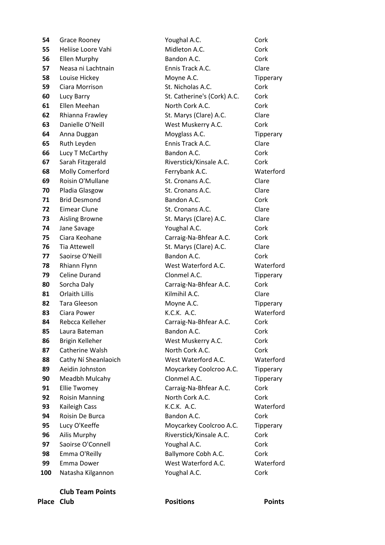Grace Rooney **Communist Constructs Cork** Youghal A.C. **Cork**  Heliise Loore Vahi **Midleton A.C.** Cork Ellen Murphy **Bandon A.C.** Cork Neasa ni Lachtnain **Ennis Track A.C.** Clare Louise Hickey **Moyne A.C.** Tipperary Ciara Morrison **St. Nicholas A.C.** Cork Lucy Barry **St. Catherine's (Cork) A.C.** Cork Ellen Meehan North Cork A.C. Cork Rhianna Frawley St. Marys (Clare) A.C. Clare Danielle O'Neill West Muskerry A.C. Cork Anna Duggan Moyglass A.C. Tipperary Ruth Leyden **Ennis Track A.C.** Clare Lucy T McCarthy **Bandon A.C.** Cork Sarah Fitzgerald **Riverstick/Kinsale A.C.** Cork Molly Comerford Ferrybank A.C. Waterford Roisin O'Mullane **St. Cronans A.C.** Clare Pladia Glasgow St. Cronans A.C. Clare Brid Desmond Bandon A.C. Cork Eimear Clune **St. Cronans A.C.** Clare Aisling Browne St. Marys (Clare) A.C. Clare Jane Savage **X 1988** Youghal A.C. **Cork**  Ciara Keohane Carraig-Na-Bhfear A.C. Cork Tia Attewell **St. Marys (Clare) A.C.** Clare Saoirse O'Neill **Bandon A.C.** Cork Rhiann Flynn **West Waterford A.C.** Waterford Celine Durand **Clonmel A.C.** Tipperary Sorcha Daly **Carraig-Na-Bhfear A.C.** Cork Orlaith Lillis **Example 20 Kilmihil A.C.** Clare Tara Gleeson **Moyne A.C.** Tipperary Ciara Power K.C.K. A.C. Waterford 84 Rebcca Kelleher Carraig-Na-Bhfear A.C. Cork Laura Bateman **Bandon A.C.** Cork Brigin Kelleher **Nest Muskerry A.C.** Cork Catherine Walsh North Cork A.C. Cork Cathy Ní Sheanlaoich West Waterford A.C. Waterford Aeidin Johnston Moycarkey Coolcroo A.C. Tipperary Meadbh Mulcahy Clonmel A.C. Tipperary Ellie Twomey **Carraig-Na-Bhfear A.C.** Cork Roisin Manning **North Cork A.C.** Cork Kaileigh Cass **K.C.K. A.C.** K.C.K. A.C. Roisin De Burca **Bandon A.C.** Cork Lucy O'Keeffe Moycarkey Coolcroo A.C. Tipperary Ailis Murphy **Riverstick/Kinsale A.C.** Cork Saoirse O'Connell **Sacies Access Provident A.C.** Cork Emma O'Reilly **Ballymore Cobh A.C.** Cork Emma Dower West Waterford A.C. Waterford Natasha Kilgannon **Matasha Kilgannon** Youghal A.C. **Cork** Cork

# **Place Club Positions Points**

#### **Club Team Points**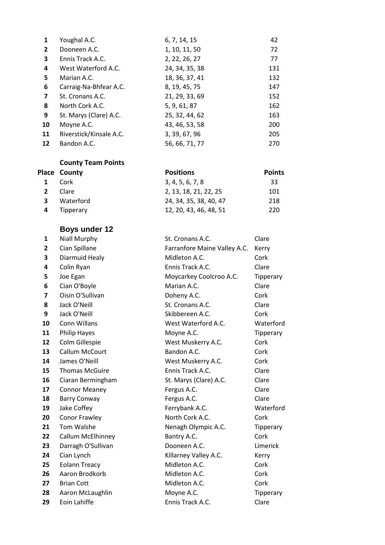| Youghal A.C.            | 6, 7, 14, 15   | 42  |
|-------------------------|----------------|-----|
| Dooneen A.C.            | 1, 10, 11, 50  | 72  |
| Ennis Track A.C.        | 2, 22, 26, 27  | 77  |
| West Waterford A.C.     | 24, 34, 35, 38 | 131 |
| Marian A.C.             | 18, 36, 37, 41 | 132 |
| Carraig-Na-Bhfear A.C.  | 8, 19, 45, 75  | 147 |
| St. Cronans A.C.        | 21, 29, 33, 69 | 152 |
| North Cork A.C.         | 5, 9, 61, 87   | 162 |
| St. Marys (Clare) A.C.  | 25, 32, 44, 62 | 163 |
| Moyne A.C.              | 43, 46, 53, 58 | 200 |
| Riverstick/Kinsale A.C. | 3, 39, 67, 96  | 205 |
| Bandon A.C.             | 56, 66, 71, 77 | 270 |
|                         |                |     |

|   | <b>Place County</b> | <b>Positions</b>       | <b>Points</b> |
|---|---------------------|------------------------|---------------|
|   | 1 Cork              | 3, 4, 5, 6, 7, 8       | 33            |
|   | Clare.              | 2, 13, 18, 21, 22, 25  | 101           |
| ર | Waterford           | 24, 34, 35, 38, 40, 47 | 218           |
|   | Tipperary           | 12, 20, 43, 46, 48, 51 | 220           |

# **Boys under 12**

| 1                       | Niall Murphy          | St. Cronans A.C.             | Clare     |
|-------------------------|-----------------------|------------------------------|-----------|
| $\overline{\mathbf{2}}$ | Cian Spillane         | Farranfore Maine Valley A.C. | Kerry     |
| 3                       | Diarmuid Healy        | Midleton A.C.                | Cork      |
| 4                       | Colin Ryan            | Ennis Track A.C.             | Clare     |
| 5                       | Joe Egan              | Moycarkey Coolcroo A.C.      | Tipperary |
| 6                       | Cian O'Boyle          | Marian A.C.                  | Clare     |
| 7                       | Oisin O'Sullivan      | Doheny A.C.                  | Cork      |
| 8                       | Jack O'Neill          | St. Cronans A.C.             | Clare     |
| 9                       | Jack O'Neill          | Skibbereen A.C.              | Cork      |
| 10                      | Conn Willans          | West Waterford A.C.          | Waterford |
| 11                      | <b>Philip Hayes</b>   | Moyne A.C.                   | Tipperary |
| 12                      | Colm Gillespie        | West Muskerry A.C.           | Cork      |
| 13                      | Callum McCourt        | Bandon A.C.                  | Cork      |
| 14                      | James O'Neill         | West Muskerry A.C.           | Cork      |
| 15                      | <b>Thomas McGuire</b> | Ennis Track A.C.             | Clare     |
| 16                      | Ciaran Bermingham     | St. Marys (Clare) A.C.       | Clare     |
| 17                      | <b>Connor Meaney</b>  | Fergus A.C.                  | Clare     |
| 18                      | <b>Barry Conway</b>   | Fergus A.C.                  | Clare     |
| 19                      | Jake Coffey           | Ferrybank A.C.               | Waterford |
| 20                      | Conor Frawley         | North Cork A.C.              | Cork      |
| 21                      | Tom Walshe            | Nenagh Olympic A.C.          | Tipperary |
| 22                      | Callum McElhinney     | Bantry A.C.                  | Cork      |
| 23                      | Darragh O'Sullivan    | Dooneen A.C.                 | Limerick  |
| 24                      | Cian Lynch            | Killarney Valley A.C.        | Kerry     |
| 25                      | <b>Eolann Treacy</b>  | Midleton A.C.                | Cork      |
| 26                      | Aaron Brodkorb        | Midleton A.C.                | Cork      |
| 27                      | <b>Brian Cott</b>     | Midleton A.C.                | Cork      |
| 28                      | Aaron McLaughlin      | Moyne A.C.                   | Tipperary |
| 29                      | Eoin Lahiffe          | Ennis Track A.C.             | Clare     |
|                         |                       |                              |           |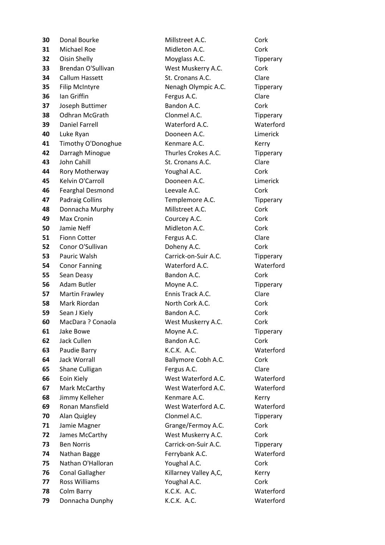Donal Bourke **Millstreet A.C.** Cork Michael Roe Midleton A.C. Cork Oisin Shelly **Moyglass A.C.** Tipperary Brendan O'Sullivan West Muskerry A.C. Cork Callum Hassett St. Cronans A.C. Clare Filip McIntyre **Nenagh Olympic A.C.** Tipperary Ian Griffin **Fergus A.C.** Clare Joseph Buttimer **Bandon A.C.** Cork Odhran McGrath Clonmel A.C. Tipperary Daniel Farrell Waterford A.C. Waterford Luke Ryan **Dooneen A.C.** Limerick Timothy O'Donoghue **Kenmare A.C.** Kerry Darragh Minogue Thurles Crokes A.C. Tipperary John Cahill St. Cronans A.C. Clare Rory Motherway **With Constructs** Youghal A.C. Cork Kelvin O'Carroll **Cancell** Dooneen A.C. Limerick Fearghal Desmond **Leevale A.C.** Cork Padraig Collins **Templemore A.C.** Tipperary Donnacha Murphy Millstreet A.C. Cork Max Cronin **Courcey A.C.** Cork Jamie Neff Midleton A.C. Cork Fionn Cotter **Fergus A.C.** Clare Conor O'Sullivan **Doheny A.C.** Cork Pauric Walsh **Carrick-on-Suir A.C.** Tipperary Conor Fanning Waterford A.C. Waterford Sean Deasy **Bandon A.C.** Cork Adam Butler Moyne A.C. Tipperary Martin Frawley **Ennis Track A.C.** Clare Mark Riordan **North Cork A.C.** Cork Cork A.C. Sean J Kiely **Bandon A.C.** Cork MacDara ? Conaola West Muskerry A.C. Cork Jake Bowe Moyne A.C. Tipperary Jack Cullen **Bandon A.C.** Cork Paudie Barry K.C.K. A.C. Waterford Jack Worrall **Ballymore Cobh A.C.** Cork Shane Culligan **Fergus A.C.** Clare Eoin Kiely **West Waterford A.C.** Waterford Mark McCarthy West Waterford A.C. Waterford Jimmy Kelleher **Kenmare A.C.** Kerry Ronan Mansfield West Waterford A.C. Waterford Alan Quigley Clonmel A.C. Tipperary Jamie Magner Grange/Fermoy A.C. Cork James McCarthy West Muskerry A.C. Cork Ben Norris **Carrick-on-Suir A.C.** Tipperary Nathan Bagge **Ferrybank A.C.** Waterford Nathan O'Halloran **Youghal A.C.** Cork Conal Gallagher Killarney Valley A,C, Kerry Ross Williams **Constant Constant Constant Constant Constant Constant Constant Constant Constant Constant Const** Colm Barry **Colm Barry Colm Barry Colm Barry Colm Barry Reserves AT ACC. Waterford** 

Donnacha Dunphy K.C.K. A.C. Waterford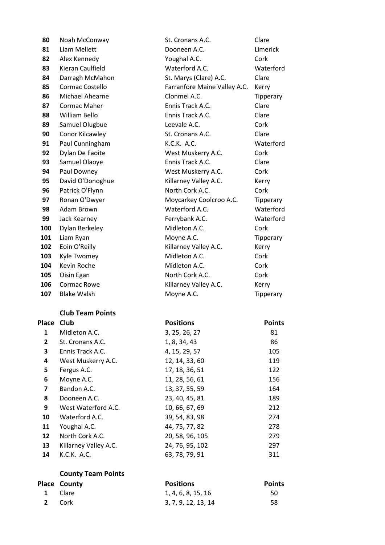| 80    | Noah McConway           | St. Cronans A.C.             | Clare         |
|-------|-------------------------|------------------------------|---------------|
| 81    | Liam Mellett            | Dooneen A.C.                 | Limerick      |
| 82    | Alex Kennedy            | Youghal A.C.                 | Cork          |
| 83    | Kieran Caulfield        | Waterford A.C.               | Waterford     |
| 84    | Darragh McMahon         | St. Marys (Clare) A.C.       | Clare         |
| 85    | Cormac Costello         | Farranfore Maine Valley A.C. | Kerry         |
| 86    | Michael Ahearne         | Clonmel A.C.                 | Tipperary     |
| 87    | <b>Cormac Maher</b>     | Ennis Track A.C.             | Clare         |
| 88    | William Bello           | Ennis Track A.C.             | Clare         |
| 89    | Samuel Olugbue          | Leevale A.C.                 | Cork          |
| 90    | Conor Kilcawley         | St. Cronans A.C.             | Clare         |
| 91    | Paul Cunningham         | K.C.K. A.C.                  | Waterford     |
| 92    | Dylan De Faoite         | West Muskerry A.C.           | Cork          |
| 93    | Samuel Olaoye           | Ennis Track A.C.             | Clare         |
| 94    | Paul Downey             | West Muskerry A.C.           | Cork          |
| 95    | David O'Donoghue        | Killarney Valley A.C.        | Kerry         |
| 96    | Patrick O'Flynn         | North Cork A.C.              | Cork          |
| 97    | Ronan O'Dwyer           | Moycarkey Coolcroo A.C.      | Tipperary     |
| 98    | Adam Brown              | Waterford A.C.               | Waterford     |
| 99    | Jack Kearney            | Ferrybank A.C.               | Waterford     |
| 100   | Dylan Berkeley          | Midleton A.C.                | Cork          |
| 101   | Liam Ryan               | Moyne A.C.                   | Tipperary     |
| 102   | Eoin O'Reilly           | Killarney Valley A.C.        | Kerry         |
| 103   | Kyle Twomey             | Midleton A.C.                | Cork          |
| 104   | Kevin Roche             | Midleton A.C.                | Cork          |
| 105   | Oisin Egan              | North Cork A.C.              | Cork          |
| 106   | <b>Cormac Rowe</b>      | Killarney Valley A.C.        | Kerry         |
| 107   | <b>Blake Walsh</b>      | Moyne A.C.                   | Tipperary     |
|       | <b>Club Team Points</b> |                              |               |
| Place | Club                    | <b>Positions</b>             | <b>Points</b> |
| 1     | Midleton A.C.           | 3, 25, 26, 27                | 81            |
| 2     | St. Cronans A.C.        | 1, 8, 34, 43                 | 86            |
| 3     | Ennis Track A.C.        | 4, 15, 29, 57                | 105           |
| 4     | West Muskerry A.C.      | 12, 14, 33, 60               | 119           |
| 5     | Fergus A.C.             | 17, 18, 36, 51               | 122           |
| 6     | Moyne A.C.              | 11, 28, 56, 61               | 156           |
| 7     | Bandon A.C.             | 13, 37, 55, 59               | 164           |
| 8     | Dooneen A.C.            | 23, 40, 45, 81               | 189           |
| 9     | West Waterford A.C.     | 10, 66, 67, 69               | 212           |
| 10    | Waterford A.C.          | 39, 54, 83, 98               | 274           |
| 11    | Youghal A.C.            | 44, 75, 77, 82               | 278           |
| 12    | North Cork A.C.         | 20, 58, 96, 105              | 279           |
| 13    | Killarney Valley A.C.   | 24, 76, 95, 102              | 297           |
| 14    | K.C.K. A.C.             | 63, 78, 79, 91               | 311           |

| Place County | <b>Positions</b>    | <b>Points</b> |
|--------------|---------------------|---------------|
| 1 Clare      | 1, 4, 6, 8, 15, 16  | 50            |
| 2 Cork       | 3, 7, 9, 12, 13, 14 | 58            |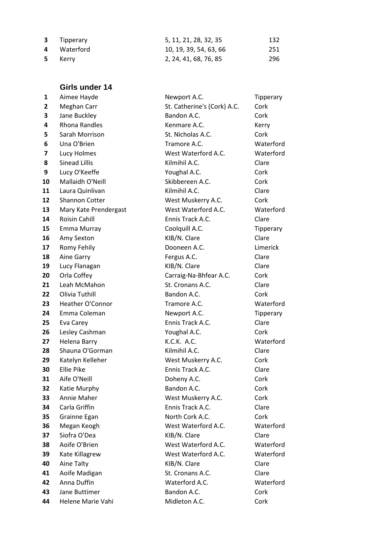| <b>3</b> Tipperary | 5, 11, 21, 28, 32, 35  | 132 |
|--------------------|------------------------|-----|
| 4 Waterford        | 10, 19, 39, 54, 63, 66 | 251 |
| 5 Kerry            | 2, 24, 41, 68, 76, 85  | 296 |

# **Girls under 14**

| 1  | Aimee Hayde           | Newport A.C.                | Tipperary |
|----|-----------------------|-----------------------------|-----------|
| 2  | Meghan Carr           | St. Catherine's (Cork) A.C. | Cork      |
| 3  | Jane Buckley          | Bandon A.C.                 | Cork      |
| 4  | <b>Rhona Randles</b>  | Kenmare A.C.                | Kerry     |
| 5  | Sarah Morrison        | St. Nicholas A.C.           | Cork      |
| 6  | Una O'Brien           | Tramore A.C.                | Waterford |
| 7  | Lucy Holmes           | West Waterford A.C.         | Waterford |
| 8  | <b>Sinead Lillis</b>  | Kilmihil A.C.               | Clare     |
| 9  | Lucy O'Keeffe         | Youghal A.C.                | Cork      |
| 10 | Mallaidh O'Neill      | Skibbereen A.C.             | Cork      |
| 11 | Laura Quinlivan       | Kilmihil A.C.               | Clare     |
| 12 | Shannon Cotter        | West Muskerry A.C.          | Cork      |
| 13 | Mary Kate Prendergast | West Waterford A.C.         | Waterford |
| 14 | <b>Roisin Cahill</b>  | Ennis Track A.C.            | Clare     |
| 15 | Emma Murray           | Coolquill A.C.              | Tipperary |
| 16 | Amy Sexton            | KIB/N. Clare                | Clare     |
| 17 | Romy Fehily           | Dooneen A.C.                | Limerick  |
| 18 | Aine Garry            | Fergus A.C.                 | Clare     |
| 19 | Lucy Flanagan         | KIB/N. Clare                | Clare     |
| 20 | Orla Coffey           | Carraig-Na-Bhfear A.C.      | Cork      |
| 21 | Leah McMahon          | St. Cronans A.C.            | Clare     |
| 22 | Olivia Tuthill        | Bandon A.C.                 | Cork      |
| 23 | Heather O'Connor      | Tramore A.C.                | Waterford |
| 24 | Emma Coleman          | Newport A.C.                | Tipperary |
| 25 | Eva Carey             | Ennis Track A.C.            | Clare     |
| 26 | Lesley Cashman        | Youghal A.C.                | Cork      |
| 27 | Helena Barry          | K.C.K. A.C.                 | Waterford |
| 28 | Shauna O'Gorman       | Kilmihil A.C.               | Clare     |
| 29 | Katelyn Kelleher      | West Muskerry A.C.          | Cork      |
| 30 | <b>Ellie Pike</b>     | Ennis Track A.C.            | Clare     |
| 31 | Aife O'Neill          | Doheny A.C.                 | Cork      |
| 32 | Katie Murphy          | Bandon A.C.                 | Cork      |
| 33 | Annie Maher           | West Muskerry A.C.          | Cork      |
| 34 | Carla Griffin         | Ennis Track A.C.            | Clare     |
| 35 | Grainne Egan          | North Cork A.C.             | Cork      |
| 36 | Megan Keogh           | West Waterford A.C.         | Waterford |
| 37 | Siofra O'Dea          | KIB/N. Clare                | Clare     |
| 38 | Aoife O'Brien         | West Waterford A.C.         | Waterford |
| 39 | Kate Killagrew        | West Waterford A.C.         | Waterford |
| 40 | Aine Talty            | KIB/N. Clare                | Clare     |
| 41 | Aoife Madigan         | St. Cronans A.C.            | Clare     |
| 42 | Anna Duffin           | Waterford A.C.              | Waterford |
| 43 | Jane Buttimer         | Bandon A.C.                 | Cork      |
| 44 | Helene Marie Vahi     | Midleton A.C.               | Cork      |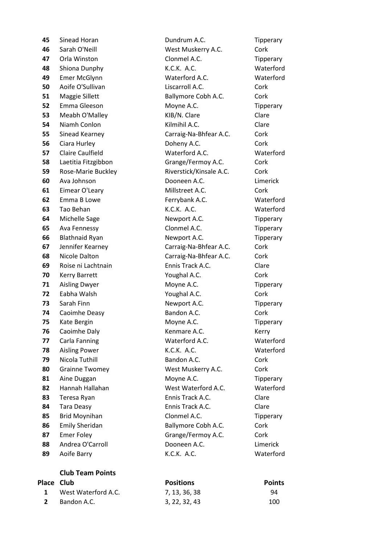#### **Club Team Points**

|            | <b>Club Team Points</b> |                  |               |
|------------|-------------------------|------------------|---------------|
| Place Club |                         | <b>Positions</b> | <b>Points</b> |
|            | West Waterford A.C.     | 7, 13, 36, 38    | 94            |
|            | Bandon A.C.             | 3, 22, 32, 43    | 100           |

 Sinead Horan **Communist Contract Contract Dundrum A.C.** Tipperary Sarah O'Neill West Muskerry A.C. Cork Orla Winston Clonmel A.C. Tipperary Shiona Dunphy K.C.K. A.C. Waterford Emer McGlynn Waterford A.C. Waterford Aoife O'Sullivan **Consult A.C.** Cork Cork Maggie Sillett **Ballymore Cobh A.C.** Cork Emma Gleeson Moyne A.C. Tipperary Meabh O'Malley KIB/N. Clare Clare Niamh Conlon **Constant Constant Constant Constant Constant Constant Constant Constant Constant Constant Const**  Sinead Kearney **Carraig-Na-Bhfear A.C.** Cork Ciara Hurley **Communist Contract Contract Contract Contract Contract Contract Contract Contract Contract Contract Contract Contract Contract Contract Contract Contract Contract Contract Contract Contract Contract Cont**  Claire Caulfield Waterford A.C. Waterford Laetitia Fitzgibbon Grange/Fermoy A.C. Cork Rose-Marie Buckley Riverstick/Kinsale A.C. Cork Ava Johnson **Dooneen A.C.** Limerick Eimear O'Leary **Millstreet A.C.** Cork Emma B Lowe **Ferrybank A.C.** Waterford Tao Behan K.C.K. A.C. Waterford Michelle Sage Newport A.C. Tipperary Ava Fennessy Clonmel A.C. Tipperary Blathnaid Ryan Newport A.C. Tipperary Jennifer Kearney **Carraig-Na-Bhfear A.C.** Cork Nicole Dalton **Carraig-Na-Bhfear A.C.** Cork Roise ni Lachtnain **Ennis Track A.C.** Clare Kerry Barrett **Youghal A.C.** Cork Aisling Dwyer Moyne A.C. Tipperary Eabha Walsh **Youghal A.C.** Cork Sarah Finn **Newport A.C.** Tipperary Caoimhe Deasy **Bandon A.C.** Cork Kate Bergin **Moyne A.C.** Tipperary Caoimhe Daly **Caoimhe Daly** Kenmare A.C. Kerry Carla Fanning **Carla Fanning** Waterford A.C. Waterford Aisling Power K.C.K. A.C. Waterford Nicola Tuthill Bandon A.C. Cork Grainne Twomey West Muskerry A.C. Cork 81 Aine Duggan Moyne A.C. Tipperary Hannah Hallahan West Waterford A.C. Waterford Teresa Ryan **Ennis Track A.C.** Clare Tara Deasy **Ennis Track A.C.** Clare Brid Moynihan **Clonmel A.C.** Tipperary Emily Sheridan **Ballymore Cobh A.C.** Cork 87 Emer Foley **Grange/Fermoy A.C.** Cork 88 Andrea O'Carroll **Branch Cooneen A.C. Limerick** Aoife Barry K.C.K. A.C. Waterford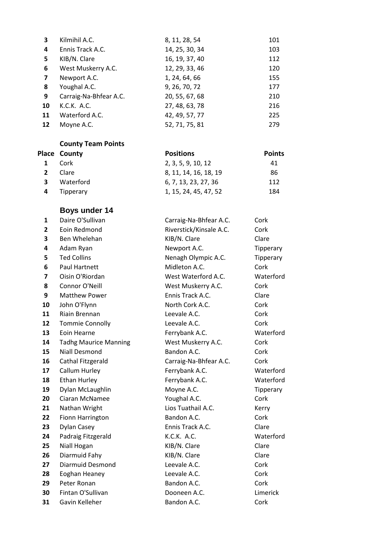| $\overline{\mathbf{3}}$ | Kilmihil A.C.          | 8, 11, 28, 54  | 101 |
|-------------------------|------------------------|----------------|-----|
| 4                       | Ennis Track A.C.       | 14, 25, 30, 34 | 103 |
| 5                       | KIB/N. Clare           | 16, 19, 37, 40 | 112 |
| 6                       | West Muskerry A.C.     | 12, 29, 33, 46 | 120 |
| 7                       | Newport A.C.           | 1, 24, 64, 66  | 155 |
| 8                       | Youghal A.C.           | 9, 26, 70, 72  | 177 |
| 9                       | Carraig-Na-Bhfear A.C. | 20, 55, 67, 68 | 210 |
| 10                      | K.C.K. A.C.            | 27, 48, 63, 78 | 216 |
| 11                      | Waterford A.C.         | 42, 49, 57, 77 | 225 |
| 12                      | Moyne A.C.             | 52, 71, 75, 81 | 279 |

|              | <b>Place County</b> | <b>Positions</b>      | <b>Points</b> |
|--------------|---------------------|-----------------------|---------------|
| 1            | Cork                | 2, 3, 5, 9, 10, 12    | 41            |
| $\mathbf{2}$ | Clare               | 8, 11, 14, 16, 18, 19 | 86            |
| 3.           | Waterford           | 6, 7, 13, 23, 27, 36  | 112           |
| 4            | Tipperary           | 1, 15, 24, 45, 47, 52 | 184           |

# **Boys under 14**

| 1  | Daire O'Sullivan             | Carraig-Na-Bhfear A.C.  | Cork      |
|----|------------------------------|-------------------------|-----------|
| 2  | Eoin Redmond                 | Riverstick/Kinsale A.C. | Cork      |
| 3  | Ben Whelehan                 | KIB/N. Clare            | Clare     |
| 4  | Adam Ryan                    | Newport A.C.            | Tipperary |
| 5  | <b>Ted Collins</b>           | Nenagh Olympic A.C.     | Tipperary |
| 6  | Paul Hartnett                | Midleton A.C.           | Cork      |
| 7  | Oisin O'Riordan              | West Waterford A.C.     | Waterford |
| 8  | Connor O'Neill               | West Muskerry A.C.      | Cork      |
| 9  | <b>Matthew Power</b>         | Ennis Track A.C.        | Clare     |
| 10 | John O'Flynn                 | North Cork A.C.         | Cork      |
| 11 | Riain Brennan                | Leevale A.C.            | Cork      |
| 12 | <b>Tommie Connolly</b>       | Leevale A.C.            | Cork      |
| 13 | Eoin Hearne                  | Ferrybank A.C.          | Waterford |
| 14 | <b>Tadhg Maurice Manning</b> | West Muskerry A.C.      | Cork      |
| 15 | <b>Niall Desmond</b>         | Bandon A.C.             | Cork      |
| 16 | Cathal Fitzgerald            | Carraig-Na-Bhfear A.C.  | Cork      |
| 17 | Callum Hurley                | Ferrybank A.C.          | Waterford |
| 18 | Ethan Hurley                 | Ferrybank A.C.          | Waterford |
| 19 | Dylan McLaughlin             | Moyne A.C.              | Tipperary |
| 20 | Ciaran McNamee               | Youghal A.C.            | Cork      |
| 21 | Nathan Wright                | Lios Tuathail A.C.      | Kerry     |
| 22 | <b>Fionn Harrington</b>      | Bandon A.C.             | Cork      |
| 23 | <b>Dylan Casey</b>           | Ennis Track A.C.        | Clare     |
| 24 | Padraig Fitzgerald           | K.C.K. A.C.             | Waterford |
| 25 | Niall Hogan                  | KIB/N. Clare            | Clare     |
| 26 | Diarmuid Fahy                | KIB/N. Clare            | Clare     |
| 27 | <b>Diarmuid Desmond</b>      | Leevale A.C.            | Cork      |
| 28 | Eoghan Heaney                | Leevale A.C.            | Cork      |
| 29 | Peter Ronan                  | Bandon A.C.             | Cork      |
| 30 | Fintan O'Sullivan            | Dooneen A.C.            | Limerick  |
| 31 | Gavin Kelleher               | Bandon A.C.             | Cork      |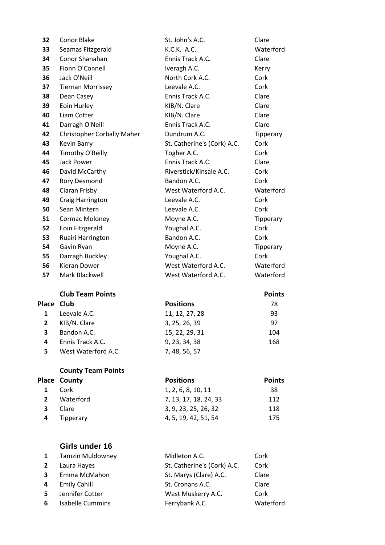| 32           | Conor Blake                       | St. John's A.C.             | Clare         |
|--------------|-----------------------------------|-----------------------------|---------------|
| 33           | Seamas Fitzgerald                 | K.C.K. A.C.                 | Waterford     |
| 34           | Conor Shanahan                    | Ennis Track A.C.            | Clare         |
| 35           | Fionn O'Connell                   | Iveragh A.C.                | Kerry         |
| 36           | Jack O'Neill                      | North Cork A.C.             | Cork          |
| 37           | <b>Tiernan Morrissey</b>          | Leevale A.C.                | Cork          |
| 38           | Dean Casey                        | Ennis Track A.C.            | Clare         |
| 39           | Eoin Hurley                       | KIB/N. Clare                | Clare         |
| 40           | Liam Cotter                       | KIB/N. Clare                | Clare         |
| 41           | Darragh O'Neill                   | Ennis Track A.C.            | Clare         |
| 42           | <b>Christopher Corbally Maher</b> | Dundrum A.C.                | Tipperary     |
| 43           | <b>Kevin Barry</b>                | St. Catherine's (Cork) A.C. | Cork          |
| 44           | Timothy O'Reilly                  | Togher A.C.                 | Cork          |
| 45           | <b>Jack Power</b>                 | Ennis Track A.C.            | Clare         |
| 46           | David McCarthy                    | Riverstick/Kinsale A.C.     | Cork          |
| 47           | <b>Rory Desmond</b>               | Bandon A.C.                 | Cork          |
| 48           | Ciaran Frisby                     | West Waterford A.C.         | Waterford     |
| 49           | Craig Harrington                  | Leevale A.C.                | Cork          |
| 50           | Sean Mintern                      | Leevale A.C.                | Cork          |
| 51           | Cormac Moloney                    | Moyne A.C.                  | Tipperary     |
| 52           | Eoin Fitzgerald                   | Youghal A.C.                | Cork          |
| 53           | Ruairi Harrington                 | Bandon A.C.                 | Cork          |
| 54           | Gavin Ryan                        | Moyne A.C.                  | Tipperary     |
| 55           | Darragh Buckley                   | Youghal A.C.                | Cork          |
| 56           | <b>Kieran Dower</b>               | West Waterford A.C.         | Waterford     |
| 57           | Mark Blackwell                    | West Waterford A.C.         | Waterford     |
|              | <b>Club Team Points</b>           |                             | <b>Points</b> |
| Place        | Club                              | <b>Positions</b>            | 78            |
| $\mathbf{1}$ | Leevale A.C.                      | 11, 12, 27, 28              | 93            |
| $\mathbf{2}$ | KIB/N. Clare                      | 3, 25, 26, 39               | 97            |
| 3            | Bandon A.C.                       | 15, 22, 29, 31              | 104           |
| 4            | Ennis Track A.C.                  | 9, 23, 34, 38               | 168           |
| 5            | West Waterford A.C.               | 7, 48, 56, 57               |               |

|              | <b>Place County</b> | <b>Positions</b>      | <b>Points</b> |
|--------------|---------------------|-----------------------|---------------|
| $\mathbf{1}$ | – Cork              | 1, 2, 6, 8, 10, 11    | 38            |
|              | Waterford           | 7, 13, 17, 18, 24, 33 | 112           |
| 3            | Clare               | 3, 9, 23, 25, 26, 32  | 118           |
| 4            | Tipperary           | 4, 5, 19, 42, 51, 54  | 175           |

# **Girls under 16**

|              | 1 Tamzin Muldowney      | Midleton A.C.               | Cork      |
|--------------|-------------------------|-----------------------------|-----------|
| $\mathbf{2}$ | Laura Hayes             | St. Catherine's (Cork) A.C. | Cork      |
| 3            | Emma McMahon            | St. Marys (Clare) A.C.      | Clare     |
| 4            | <b>Emily Cahill</b>     | St. Cronans A.C.            | Clare     |
| -5           | Jennifer Cotter         | West Muskerry A.C.          | Cork      |
| 6            | <b>Isabelle Cummins</b> | Ferrybank A.C.              | Waterford |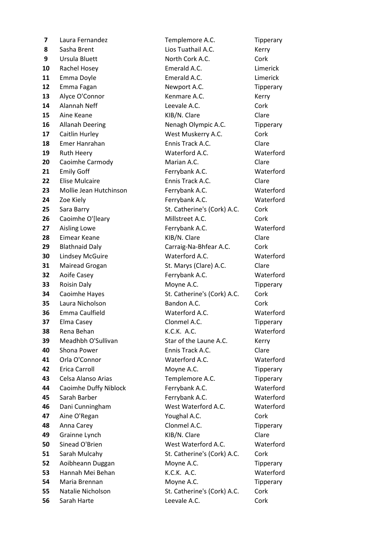Laura Fernandez Templemore A.C. Tipperary Sasha Brent Lios Tuathail A.C. Kerry Ursula Bluett **North Cork A.C.** Cork Rachel Hosey **Emerald A.C.** Limerick Emma Doyle **Emerald A.C. Emerald A.C. Limerick**  Emma Fagan **Newport A.C.** Tipperary Alyce O'Connor Kenmare A.C. Kerry Alannah Neff **Leevale A.C.** Cork Aine Keane **Clare KIB/N. Clare** Clare **Clare**  Allanah Deering Nenagh Olympic A.C. Tipperary Caitlin Hurley **Constant Constant West Muskerry A.C.** Cork Emer Hanrahan **Ennis Track A.C.** Clare Ruth Heery Waterford A.C. Waterford Caoimhe Carmody Marian A.C. Clare Emily Goff **Ferrybank A.C.** Waterford Elise Mulcaire **Ennis Track A.C.** Clare Mollie Jean Hutchinson Ferrybank A.C. Waterford Zoe Kiely **Ferrybank A.C.** Waterford Sara Barry St. Catherine's (Cork) A.C. Cork Caoimhe O'[leary Millstreet A.C. Cork Aisling Lowe **Ferrybank A.C.** Waterford Eimear Keane **KIB/N.** Clare Clare Clare Blathnaid Daly **Carraig-Na-Bhfear A.C.** Cork Lindsey McGuire **Waterford A.C.** Waterford Mairead Grogan St. Marys (Clare) A.C. Clare Aoife Casey **Ferrybank A.C.** Waterford Roisin Daly **Moyne A.C.** Tipperary Caoimhe Hayes St. Catherine's (Cork) A.C. Cork Laura Nicholson **Bandon A.C.** Cork Emma Caulfield Waterford A.C. Waterford Elma Casey **Clonmel A.C.** Tipperary Rena Behan **K.C.K. A.C.** Waterford Meadhbh O'Sullivan Star of the Laune A.C. Kerry Shona Power **Ennis Track A.C.** Clare Orla O'Connor Waterford A.C. Waterford Erica Carroll **Ack Example 20 Example 20 AC** Moyne A.C. Tipperary Celsa Alanso Arias **Templemore A.C.** Tipperary Caoimhe Duffy Niblock Ferrybank A.C. Waterford Sarah Barber **Ferrybank A.C.** Waterford Dani Cunningham West Waterford A.C. Waterford Aine O'Regan **Xame Constant A.C.** Cork Anna Carey **Clonmel A.C.** Tipperary Grainne Lynch **KIB/N.** Clare Clare Sinead O'Brien **West Waterford A.C.** Waterford Sarah Mulcahy **St. Catherine's (Cork) A.C.** Cork Aoibheann Duggan Moyne A.C. Tipperary Hannah Mei Behan K.C.K. A.C. Waterford Maria Brennan **Moyne A.C.** Tipperary Natalie Nicholson St. Catherine's (Cork) A.C. Cork Sarah Harte **Leevale A.C.** Cork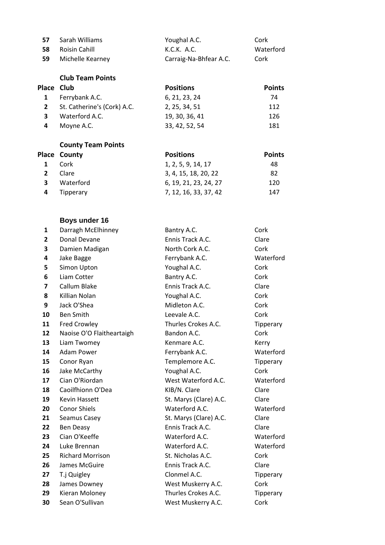| 57 | Sarah Williams   | Youghal A.C.           | Cork      |
|----|------------------|------------------------|-----------|
| 58 | Roisin Cahill    | K.C.K. A.C.            | Waterford |
| 59 | Michelle Kearney | Carraig-Na-Bhfear A.C. | Cork      |

**Club Team Points**

| Place Club |                             | <b>Positions</b> | <b>Points</b> |
|------------|-----------------------------|------------------|---------------|
|            | Ferrybank A.C.              | 6, 21, 23, 24    | 74            |
|            | St. Catherine's (Cork) A.C. | 2, 25, 34, 51    | 112           |
| 3          | Waterford A.C.              | 19, 30, 36, 41   | 126           |
| 4          | Moyne A.C.                  | 33, 42, 52, 54   | 181           |

# **County Team Points**

|              | <b>Place County</b> | <b>Positions</b>      | <b>Points</b> |
|--------------|---------------------|-----------------------|---------------|
| 1            | Cork                | 1, 2, 5, 9, 14, 17    | 48            |
| $\mathbf{2}$ | Clare               | 3, 4, 15, 18, 20, 22  | 82            |
| 3            | Waterford           | 6, 19, 21, 23, 24, 27 | 120           |
| 4            | Tipperary           | 7, 12, 16, 33, 37, 42 | 147           |

# **Boys under 16**

| 1                       | Darragh McElhinney        | Bantry A.C.            | Cork      |
|-------------------------|---------------------------|------------------------|-----------|
| 2                       | Donal Devane              | Ennis Track A.C.       | Clare     |
| 3                       | Damien Madigan            | North Cork A.C.        | Cork      |
| 4                       | Jake Bagge                | Ferrybank A.C.         | Waterford |
| 5                       | Simon Upton               | Youghal A.C.           | Cork      |
| 6                       | Liam Cotter               | Bantry A.C.            | Cork      |
| $\overline{\mathbf{z}}$ | Callum Blake              | Ennis Track A.C.       | Clare     |
| 8                       | Killian Nolan             | Youghal A.C.           | Cork      |
| 9                       | Jack O'Shea               | Midleton A.C.          | Cork      |
| 10                      | <b>Ben Smith</b>          | Leevale A.C.           | Cork      |
| 11                      | <b>Fred Crowley</b>       | Thurles Crokes A.C.    | Tipperary |
| 12                      | Naoise O'O Flaitheartaigh | Bandon A.C.            | Cork      |
| 13                      | Liam Twomey               | Kenmare A.C.           | Kerry     |
| 14                      | Adam Power                | Ferrybank A.C.         | Waterford |
| 15                      | Conor Ryan                | Templemore A.C.        | Tipperary |
| 16                      | Jake McCarthy             | Youghal A.C.           | Cork      |
| 17                      | Cian O'Riordan            | West Waterford A.C.    | Waterford |
| 18                      | Caoilfhionn O'Dea         | KIB/N. Clare           | Clare     |
| 19                      | <b>Kevin Hassett</b>      | St. Marys (Clare) A.C. | Clare     |
| 20                      | <b>Conor Shiels</b>       | Waterford A.C.         | Waterford |
| 21                      | Seamus Casey              | St. Marys (Clare) A.C. | Clare     |
| 22                      | Ben Deasy                 | Ennis Track A.C.       | Clare     |
| 23                      | Cian O'Keeffe             | Waterford A.C.         | Waterford |
| 24                      | Luke Brennan              | Waterford A.C.         | Waterford |
| 25                      | <b>Richard Morrison</b>   | St. Nicholas A.C.      | Cork      |
| 26                      | James McGuire             | Ennis Track A.C.       | Clare     |
| 27                      | T.j Quigley               | Clonmel A.C.           | Tipperary |
| 28                      | James Downey              | West Muskerry A.C.     | Cork      |
| 29                      | Kieran Moloney            | Thurles Crokes A.C.    | Tipperary |
| 30                      | Sean O'Sullivan           | West Muskerry A.C.     | Cork      |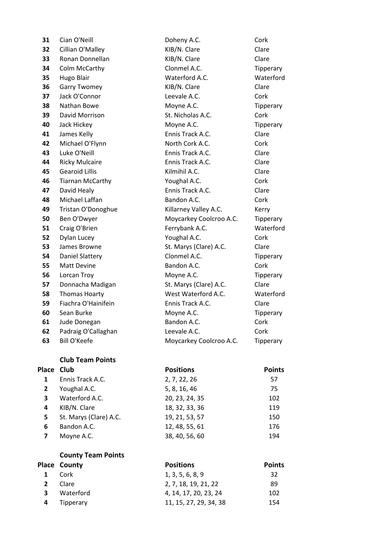| 31           | Cian O'Neill            | Doheny A.C.             | Cork          |
|--------------|-------------------------|-------------------------|---------------|
| 32           | Cillian O'Malley        | KIB/N. Clare            | Clare         |
| 33           | Ronan Donnellan         | KIB/N. Clare            | Clare         |
| 34           | Colm McCarthy           | Clonmel A.C.            | Tipperary     |
| 35           | Hugo Blair              | Waterford A.C.          | Waterford     |
| 36           | <b>Garry Twomey</b>     | KIB/N. Clare            | Clare         |
| 37           | Jack O'Connor           | Leevale A.C.            | Cork          |
| 38           | Nathan Bowe             | Moyne A.C.              | Tipperary     |
| 39           | David Morrison          | St. Nicholas A.C.       | Cork          |
| 40           | Jack Hickey             | Moyne A.C.              | Tipperary     |
| 41           | James Kelly             | Ennis Track A.C.        | Clare         |
| 42           | Michael O'Flynn         | North Cork A.C.         | Cork          |
| 43           | Luke O'Neill            | Ennis Track A.C.        | Clare         |
| 44           | <b>Ricky Mulcaire</b>   | Ennis Track A.C.        | Clare         |
| 45           | <b>Gearoid Lillis</b>   | Kilmihil A.C.           | Clare         |
| 46           | <b>Tiarnan McCarthy</b> | Youghal A.C.            | Cork          |
| 47           | David Healy             | Ennis Track A.C.        | Clare         |
| 48           | Michael Laffan          | Bandon A.C.             | Cork          |
| 49           | Tristan O'Donoghue      | Killarney Valley A.C.   | Kerry         |
| 50           | Ben O'Dwyer             | Moycarkey Coolcroo A.C. | Tipperary     |
| 51           | Craig O'Brien           | Ferrybank A.C.          | Waterford     |
| 52           | Dylan Lucey             | Youghal A.C.            | Cork          |
| 53           | James Browne            | St. Marys (Clare) A.C.  | Clare         |
| 54           | Daniel Slattery         | Clonmel A.C.            | Tipperary     |
| 55           | Matt Devine             | Bandon A.C.             | Cork          |
| 56           | Lorcan Troy             | Moyne A.C.              | Tipperary     |
| 57           | Donnacha Madigan        | St. Marys (Clare) A.C.  | Clare         |
| 58           | <b>Thomas Hoarty</b>    | West Waterford A.C.     | Waterford     |
| 59           | Fiachra O'Hainifein     | Ennis Track A.C.        | Clare         |
| 60           | Sean Burke              | Moyne A.C.              | Tipperary     |
| 61           | Jude Donegan            | Bandon A.C.             | Cork          |
| 62           | Padraig O'Callaghan     | Leevale A.C.            | Cork          |
| 63           | <b>Bill O'Keefe</b>     | Moycarkey Coolcroo A.C. | Tipperary     |
|              | <b>Club Team Points</b> |                         |               |
| Place Club   |                         | <b>Positions</b>        | <b>Points</b> |
| $\mathbf{1}$ | Ennis Track A.C.        | 2, 7, 22, 26            | 57            |
|              |                         |                         |               |

| $\mathbf 1$ | Ennis Track A.C.       | 2, 7, 22, 26   | 57  |
|-------------|------------------------|----------------|-----|
| 2           | Youghal A.C.           | 5, 8, 16, 46   | 75  |
| 3           | Waterford A.C.         | 20, 23, 24, 35 | 102 |
| 4           | KIB/N. Clare           | 18, 32, 33, 36 | 119 |
| 5.          | St. Marys (Clare) A.C. | 19, 21, 53, 57 | 150 |
| 6           | Bandon A.C.            | 12, 48, 55, 61 | 176 |
| 7           | Moyne A.C.             | 38, 40, 56, 60 | 194 |
|             |                        |                |     |

|   | <b>County Team Points</b> |                        |               |
|---|---------------------------|------------------------|---------------|
|   | <b>Place County</b>       | <b>Positions</b>       | <b>Points</b> |
|   | Cork                      | 1, 3, 5, 6, 8, 9       | 32            |
|   | Clare                     | 2, 7, 18, 19, 21, 22   | 89            |
| 3 | Waterford                 | 4, 14, 17, 20, 23, 24  | 102           |
| 4 | Tipperary                 | 11, 15, 27, 29, 34, 38 | 154           |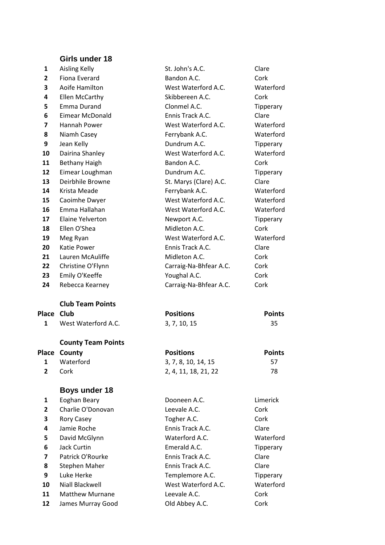# **Girls under 18**

| 1          | <b>Aisling Kelly</b>      | St. John's A.C.        | Clare         |
|------------|---------------------------|------------------------|---------------|
| 2          | Fiona Everard             | Bandon A.C.            | Cork          |
| 3          | Aoife Hamilton            | West Waterford A.C.    | Waterford     |
| 4          | Ellen McCarthy            | Skibbereen A.C.        | Cork          |
| 5          | Emma Durand               | Clonmel A.C.           | Tipperary     |
| 6          | <b>Eimear McDonald</b>    | Ennis Track A.C.       | Clare         |
| 7          | Hannah Power              | West Waterford A.C.    | Waterford     |
| 8          | Niamh Casey               | Ferrybank A.C.         | Waterford     |
| 9          | Jean Kelly                | Dundrum A.C.           | Tipperary     |
| 10         | Dairina Shanley           | West Waterford A.C.    | Waterford     |
| 11         | <b>Bethany Haigh</b>      | Bandon A.C.            | Cork          |
| 12         | Eimear Loughman           | Dundrum A.C.           | Tipperary     |
| 13         | Deirbhile Browne          | St. Marys (Clare) A.C. | Clare         |
| 14         | Krista Meade              | Ferrybank A.C.         | Waterford     |
| 15         | Caoimhe Dwyer             | West Waterford A.C.    | Waterford     |
| 16         | Emma Hallahan             | West Waterford A.C.    | Waterford     |
| 17         | Elaine Yelverton          | Newport A.C.           | Tipperary     |
| 18         | Ellen O'Shea              | Midleton A.C.          | Cork          |
| 19         | Meg Ryan                  | West Waterford A.C.    | Waterford     |
| 20         | Katie Power               | Ennis Track A.C.       | Clare         |
| 21         | Lauren McAuliffe          | Midleton A.C.          | Cork          |
| 22         | Christine O'Flynn         | Carraig-Na-Bhfear A.C. | Cork          |
| 23         | Emily O'Keeffe            | Youghal A.C.           | Cork          |
|            |                           | Carraig-Na-Bhfear A.C. | Cork          |
| 24         | Rebecca Kearney           |                        |               |
|            | <b>Club Team Points</b>   |                        |               |
| Place Club |                           | <b>Positions</b>       | <b>Points</b> |
| 1          | West Waterford A.C.       | 3, 7, 10, 15           | 35            |
|            | <b>County Team Points</b> |                        |               |
| Place      | County                    | <b>Positions</b>       | <b>Points</b> |
| 1          | Waterford                 | 3, 7, 8, 10, 14, 15    | 57            |
| 2          | Cork                      | 2, 4, 11, 18, 21, 22   | 78            |
|            | <b>Boys under 18</b>      |                        |               |
| 1          | Eoghan Beary              | Dooneen A.C.           | Limerick      |
| 2          | Charlie O'Donovan         | Leevale A.C.           | Cork          |
| 3          | Rory Casey                | Togher A.C.            | Cork          |
| 4          | Jamie Roche               | Ennis Track A.C.       | Clare         |
| 5          | David McGlynn             | Waterford A.C.         | Waterford     |
| 6          | <b>Jack Curtin</b>        | Emerald A.C.           | Tipperary     |
| 7          | Patrick O'Rourke          | Ennis Track A.C.       | Clare         |
| 8          | <b>Stephen Maher</b>      | Ennis Track A.C.       | Clare         |
| 9          | Luke Herke                | Templemore A.C.        | Tipperary     |
| 10         | Niall Blackwell           | West Waterford A.C.    | Waterford     |

12 James Murray Good **Old Abbey A.C.** Cork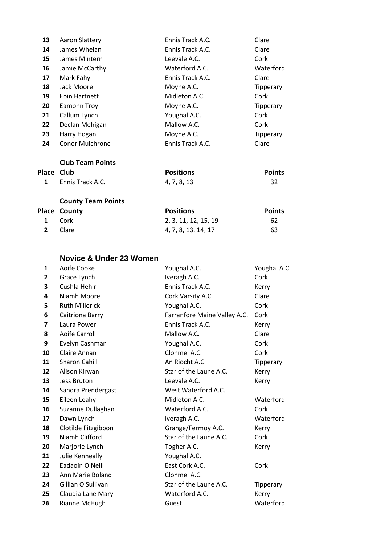| Place | <b>Club Team Points</b><br>Club | <b>Positions</b> | <b>Points</b> |
|-------|---------------------------------|------------------|---------------|
| 24    | <b>Conor Mulchrone</b>          | Ennis Track A.C. | Clare         |
| 23    | Harry Hogan                     | Moyne A.C.       | Tipperary     |
| 22    | Declan Mehigan                  | Mallow A.C.      | Cork          |
| 21    | Callum Lynch                    | Youghal A.C.     | Cork          |
| 20    | Eamonn Troy                     | Moyne A.C.       | Tipperary     |
| 19    | Eoin Hartnett                   | Midleton A.C.    | Cork          |
| 18    | Jack Moore                      | Moyne A.C.       | Tipperary     |
| 17    | Mark Fahy                       | Ennis Track A.C. | Clare         |
| 16    | Jamie McCarthy                  | Waterford A.C.   | Waterford     |
| 15    | James Mintern                   | Leevale A.C.     | Cork          |
| 14    | James Whelan                    | Ennis Track A.C. | Clare         |
| 13    | <b>Aaron Slattery</b>           | Ennis Track A.C. | Clare         |

| . |                           | .           | . |
|---|---------------------------|-------------|---|
|   | <b>1</b> Ennis Track A.C. | 4, 7, 8, 13 |   |
|   |                           |             |   |

|                | Place County | <b>Positions</b>     | <b>Points</b> |
|----------------|--------------|----------------------|---------------|
|                | 1 Cork       | 2, 3, 11, 12, 15, 19 | 62            |
| $\overline{2}$ | – Clare      | 4, 7, 8, 13, 14, 17  | 63            |

# **Novice & Under 23 Women**

| $\mathbf{1}$   | Aoife Cooke           | Youghal A.C.                 | Youghal A.C. |
|----------------|-----------------------|------------------------------|--------------|
| $\mathbf{2}$   | Grace Lynch           | Iveragh A.C.                 | Cork         |
| 3              | Cushla Hehir          | Ennis Track A.C.             | Kerry        |
| 4              | Niamh Moore           | Cork Varsity A.C.            | Clare        |
| 5              | <b>Ruth Millerick</b> | Youghal A.C.                 | Cork         |
| 6              | Caitriona Barry       | Farranfore Maine Valley A.C. | Cork         |
| $\overline{ }$ | Laura Power           | Ennis Track A.C.             | Kerry        |
| 8              | Aoife Carroll         | Mallow A.C.                  | Clare        |
| 9              | Evelyn Cashman        | Youghal A.C.                 | Cork         |
| 10             | Claire Annan          | Clonmel A.C.                 | Cork         |
| 11             | <b>Sharon Cahill</b>  | An Riocht A.C.               | Tipperary    |
| 12             | Alison Kirwan         | Star of the Laune A.C.       | Kerry        |
| 13             | Jess Bruton           | Leevale A.C.                 | Kerry        |
| 14             | Sandra Prendergast    | West Waterford A.C.          |              |
| 15             | Eileen Leahy          | Midleton A.C.                | Waterford    |
| 16             | Suzanne Dullaghan     | Waterford A.C.               | Cork         |
| 17             | Dawn Lynch            | Iveragh A.C.                 | Waterford    |
| 18             | Clotilde Fitzgibbon   | Grange/Fermoy A.C.           | Kerry        |
| 19             | Niamh Clifford        | Star of the Laune A.C.       | Cork         |
| 20             | Marjorie Lynch        | Togher A.C.                  | Kerry        |
| 21             | Julie Kenneally       | Youghal A.C.                 |              |
| 22             | Eadaoin O'Neill       | East Cork A.C.               | Cork         |
| 23             | Ann Marie Boland      | Clonmel A.C.                 |              |
| 24             | Gillian O'Sullivan    | Star of the Laune A.C.       | Tipperary    |
| 25             | Claudia Lane Mary     | Waterford A.C.               | Kerry        |
| 26             | Rianne McHugh         | Guest                        | Waterford    |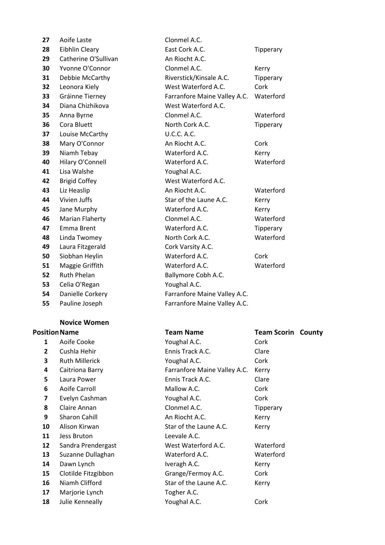| 27 | Aoife Laste            | Clonmel A.C.                 |           |
|----|------------------------|------------------------------|-----------|
| 28 | <b>Eibhlin Cleary</b>  | East Cork A.C.               | Tipperary |
| 29 | Catherine O'Sullivan   | An Riocht A.C.               |           |
| 30 | Yvonne O'Connor        | Clonmel A.C.                 | Kerry     |
| 31 | Debbie McCarthy        | Riverstick/Kinsale A.C.      | Tipperary |
| 32 | Leonora Kiely          | West Waterford A.C.          | Cork      |
| 33 | Gráinne Tierney        | Farranfore Maine Valley A.C. | Waterford |
| 34 | Diana Chizhikova       | West Waterford A.C.          |           |
| 35 | Anna Byrne             | Clonmel A.C.                 | Waterford |
| 36 | Cora Bluett            | North Cork A.C.              | Tipperary |
| 37 | Louise McCarthy        | <b>U.C.C. A.C.</b>           |           |
| 38 | Mary O'Connor          | An Riocht A.C.               | Cork      |
| 39 | Niamh Tebay            | Waterford A.C.               | Kerry     |
| 40 | Hilary O'Connell       | Waterford A.C.               | Waterford |
| 41 | Lisa Walshe            | Youghal A.C.                 |           |
| 42 | <b>Brigid Coffey</b>   | West Waterford A.C.          |           |
| 43 | Liz Heaslip            | An Riocht A.C.               | Waterford |
| 44 | Vivien Juffs           | Star of the Laune A.C.       | Kerry     |
| 45 | Jane Murphy            | Waterford A.C.               | Kerry     |
| 46 | <b>Marian Flaherty</b> | Clonmel A.C.                 | Waterford |
| 47 | Emma Brent             | Waterford A.C.               | Tipperary |
| 48 | Linda Twomey           | North Cork A.C.              | Waterford |
| 49 | Laura Fitzgerald       | Cork Varsity A.C.            |           |
| 50 | Siobhan Heylin         | Waterford A.C.               | Cork      |
| 51 | Maggie Griffith        | Waterford A.C.               | Waterford |
| 52 | <b>Ruth Phelan</b>     | Ballymore Cobh A.C.          |           |
| 53 | Celia O'Regan          | Youghal A.C.                 |           |
| 54 | Danielle Corkery       | Farranfore Maine Valley A.C. |           |
| 55 | Pauline Joseph         | Farranfore Maine Valley A.C. |           |

#### **Novice Women**

|              | sition Name           | Team Name                    | Team Sco  |
|--------------|-----------------------|------------------------------|-----------|
| 1            | Aoife Cooke           | Youghal A.C.                 | Cork      |
| $\mathbf{2}$ | Cushla Hehir          | Ennis Track A.C.             | Clare     |
| 3            | <b>Ruth Millerick</b> | Youghal A.C.                 | Cork      |
| 4            | Caitriona Barry       | Farranfore Maine Valley A.C. | Kerry     |
| 5            | Laura Power           | Ennis Track A.C.             | Clare     |
| 6            | Aoife Carroll         | Mallow A.C.                  | Cork      |
| 7            | Evelyn Cashman        | Youghal A.C.                 | Cork      |
| 8            | Claire Annan          | Clonmel A.C.                 | Tipperary |
| 9            | <b>Sharon Cahill</b>  | An Riocht A.C.               | Kerry     |
| 10           | Alison Kirwan         | Star of the Laune A.C.       | Kerry     |
| 11           | <b>Jess Bruton</b>    | Leevale A.C.                 |           |
| 12           | Sandra Prendergast    | West Waterford A.C.          | Waterford |
| 13           | Suzanne Dullaghan     | Waterford A.C.               | Waterford |
| 14           | Dawn Lynch            | Iveragh A.C.                 | Kerry     |
| 15           | Clotilde Fitzgibbon   | Grange/Fermoy A.C.           | Cork      |
| 16           | Niamh Clifford        | Star of the Laune A.C.       | Kerry     |
| 17           | Marjorie Lynch        | Togher A.C.                  |           |
| 18           | Julie Kenneally       | Youghal A.C.                 | Cork      |
|              |                       |                              |           |

|                         | IVUVILC VVUIIICII     |                               |                           |  |
|-------------------------|-----------------------|-------------------------------|---------------------------|--|
| <b>Position Name</b>    |                       | <b>Team Name</b>              | <b>Team Scorin County</b> |  |
| 1                       | Aoife Cooke           | Youghal A.C.                  | Cork                      |  |
| $\overline{2}$          | Cushla Hehir          | Ennis Track A.C.              | Clare                     |  |
| 3                       | <b>Ruth Millerick</b> | Youghal A.C.                  | Cork                      |  |
| 4                       | Caitriona Barry       | Farranfore Maine Valley A.C.  | Kerry                     |  |
| 5                       | Laura Power           | Ennis Track A.C.              | Clare                     |  |
| 6                       | Aoife Carroll         | Mallow A.C.                   | Cork                      |  |
| $\overline{\mathbf{z}}$ | Evelyn Cashman        | Youghal A.C.                  | Cork                      |  |
| 8                       | Claire Annan          | Clonmel A.C.                  | Tipperary                 |  |
| 9                       | <b>Sharon Cahill</b>  | An Riocht A.C.                | Kerry                     |  |
| 10                      | Alison Kirwan         | Star of the Laune A.C.        | Kerry                     |  |
| 11                      | Jess Bruton           | Leevale A.C.                  |                           |  |
| 12                      | Sandra Prendergast    | West Waterford A.C.           | Waterford                 |  |
| 13                      | Suzanne Dullaghan     | Waterford A.C.                | Waterford                 |  |
| 14                      | Dawn Lynch            | Iveragh A.C.                  | Kerry                     |  |
| 15                      | Clotilde Fitzgibbon   | Grange/Fermoy A.C.            | Cork                      |  |
| 16                      | Niamh Clifford        | Star of the Laune A.C.        | Kerry                     |  |
| 17                      | Marjorie Lynch        | Togher A.C.                   |                           |  |
| 1 O                     | ابرااده موصولاته      | $V_{\alpha}$ ughal A $\alpha$ | Carle                     |  |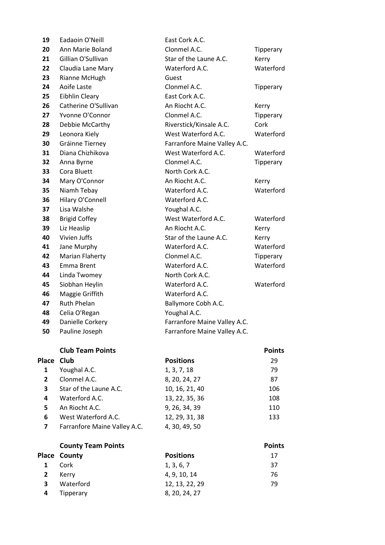|              | Place County                 | <b>Positions</b>             | 17            |
|--------------|------------------------------|------------------------------|---------------|
|              | <b>County Team Points</b>    |                              | <b>Points</b> |
| 7            | Farranfore Maine Valley A.C. | 4, 30, 49, 50                |               |
| 6            | West Waterford A.C.          | 12, 29, 31, 38               | 133           |
| 5            | An Riocht A.C.               | 9, 26, 34, 39                | 110           |
| 4            | Waterford A.C.               | 13, 22, 35, 36               | 108           |
| 3            | Star of the Laune A.C.       | 10, 16, 21, 40               | 106           |
| $\mathbf{2}$ | Clonmel A.C.                 | 8, 20, 24, 27                | 87            |
| 1            | Youghal A.C.                 | 1, 3, 7, 18                  | 79            |
| Place        | Club                         | <b>Positions</b>             | 29            |
|              | <b>Club Team Points</b>      |                              | <b>Points</b> |
| 50           | Pauline Joseph               | Farranfore Maine Valley A.C. |               |
| 49           | Danielle Corkery             | Farranfore Maine Valley A.C. |               |
| 48           | Celia O'Regan                | Youghal A.C.                 |               |
| 47           | <b>Ruth Phelan</b>           | Ballymore Cobh A.C.          |               |
| 46           | Maggie Griffith              | Waterford A.C.               |               |
| 45           | Siobhan Heylin               | Waterford A.C.               | Waterford     |
| 44           | Linda Twomey                 | North Cork A.C.              |               |
| 43           | Emma Brent                   | Waterford A.C.               | Waterford     |
| 42           | Marian Flaherty              | Clonmel A.C.                 | Tipperary     |
| 41           | Jane Murphy                  | Waterford A.C.               | Waterford     |
| 40           | Vivien Juffs                 | Star of the Laune A.C.       | Kerry         |
| 39           | Liz Heaslip                  | An Riocht A.C.               | Kerry         |
| 38           | <b>Brigid Coffey</b>         | West Waterford A.C.          | Waterford     |
| 37           | Lisa Walshe                  | Youghal A.C.                 |               |
| 36           | Hilary O'Connell             | Waterford A.C.               |               |
| 35           | Niamh Tebay                  | Waterford A.C.               | Waterford     |
| 34           | Mary O'Connor                | An Riocht A.C.               | Kerry         |
| 33           | Cora Bluett                  | North Cork A.C.              |               |
| 32           | Anna Byrne                   | Clonmel A.C.                 | Tipperary     |
| 31           | Diana Chizhikova             | West Waterford A.C.          | Waterford     |
| 30           | Gráinne Tierney              | Farranfore Maine Valley A.C. |               |
| 29           | Leonora Kiely                | West Waterford A.C.          | Waterford     |
| 28           | Debbie McCarthy              | Riverstick/Kinsale A.C.      | Cork          |
| 27           | Yvonne O'Connor              | Clonmel A.C.                 | Tipperary     |
| 26           | Catherine O'Sullivan         | An Riocht A.C.               | Kerry         |
| 25           | Eibhlin Cleary               | East Cork A.C.               |               |
| 24           | Aoife Laste                  | Clonmel A.C.                 | Tipperary     |
| 23           | Rianne McHugh                | Guest                        |               |
| 22           | Claudia Lane Mary            | Waterford A.C.               | Waterford     |
| 21           | Gillian O'Sullivan           | Star of the Laune A.C.       | Kerry         |
| 20           | Ann Marie Boland             | Clonmel A.C.                 | Tipperary     |
| 19           | Eadaoin O'Neill              | East Cork A.C.               |               |

|              | lace County | <b>Positions</b> | 17 |
|--------------|-------------|------------------|----|
| $\mathbf{1}$ | Cork        | 1, 3, 6, 7       | 37 |
| $\mathbf{2}$ | Kerrv       | 4, 9, 10, 14     | 76 |
| $\mathbf{3}$ | Waterford   | 12, 13, 22, 29   | 79 |
| 4            | Tipperary   | 8, 20, 24, 27    |    |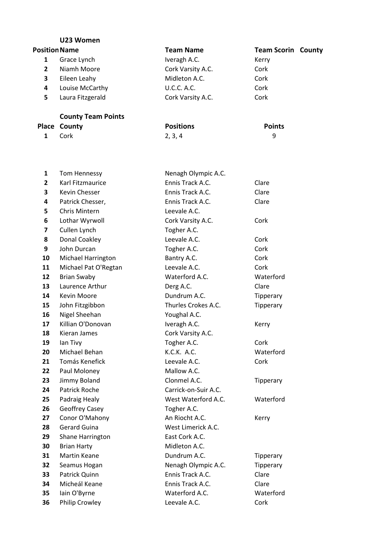|                      | U23 Women        |                    |                           |
|----------------------|------------------|--------------------|---------------------------|
| <b>Position Name</b> |                  | <b>Team Name</b>   | <b>Team Scorin County</b> |
|                      | Grace Lynch      | Iveragh A.C.       | Kerry                     |
|                      | Niamh Moore      | Cork Varsity A.C.  | Cork                      |
| 3                    | Eileen Leahy     | Midleton A.C.      | Cork                      |
| 4                    | Louise McCarthy  | <b>U.C.C. A.C.</b> | Cork                      |
|                      | Laura Fitzgerald | Cork Varsity A.C.  | Cork                      |

#### **County Team Points Place County**<br> **1** Cork **2**, 3, 4 9 Cork 2, 3, 4 9

| 1              | <b>Tom Hennessy</b>       | Nenagh Olympic A.C.  |           |
|----------------|---------------------------|----------------------|-----------|
| $\overline{2}$ | Karl Fitzmaurice          | Ennis Track A.C.     | Clare     |
| 3              | <b>Kevin Chesser</b>      | Ennis Track A.C.     | Clare     |
| 4              | Patrick Chesser,          | Ennis Track A.C.     | Clare     |
| 5              | <b>Chris Mintern</b>      | Leevale A.C.         |           |
| 6              | Lothar Wyrwoll            | Cork Varsity A.C.    | Cork      |
| 7              | Cullen Lynch              | Togher A.C.          |           |
| 8              | Donal Coakley             | Leevale A.C.         | Cork      |
| 9              | John Durcan               | Togher A.C.          | Cork      |
| 10             | <b>Michael Harrington</b> | Bantry A.C.          | Cork      |
| 11             | Michael Pat O'Regtan      | Leevale A.C.         | Cork      |
| 12             | <b>Brian Swaby</b>        | Waterford A.C.       | Waterford |
| 13             | Laurence Arthur           | Derg A.C.            | Clare     |
| 14             | <b>Kevin Moore</b>        | Dundrum A.C.         | Tipperary |
| 15             | John Fitzgibbon           | Thurles Crokes A.C.  | Tipperary |
| 16             | Nigel Sheehan             | Youghal A.C.         |           |
| 17             | Killian O'Donovan         | Iveragh A.C.         | Kerry     |
| 18             | <b>Kieran James</b>       | Cork Varsity A.C.    |           |
| 19             | lan Tivy                  | Togher A.C.          | Cork      |
| 20             | Michael Behan             | K.C.K. A.C.          | Waterford |
| 21             | Tomás Kenefick            | Leevale A.C.         | Cork      |
| 22             | Paul Moloney              | Mallow A.C.          |           |
| 23             | Jimmy Boland              | Clonmel A.C.         | Tipperary |
| 24             | <b>Patrick Roche</b>      | Carrick-on-Suir A.C. |           |
| 25             | Padraig Healy             | West Waterford A.C.  | Waterford |
| 26             | Geoffrey Casey            | Togher A.C.          |           |
| 27             | Conor O'Mahony            | An Riocht A.C.       | Kerry     |
| 28             | <b>Gerard Guina</b>       | West Limerick A.C.   |           |
| 29             | Shane Harrington          | East Cork A.C.       |           |
| 30             | <b>Brian Harty</b>        | Midleton A.C.        |           |
| 31             | Martin Keane              | Dundrum A.C.         | Tipperary |
| 32             | Seamus Hogan              | Nenagh Olympic A.C.  | Tipperary |
| 33             | Patrick Quinn             | Ennis Track A.C.     | Clare     |
| 34             | Micheál Keane             | Ennis Track A.C.     | Clare     |
| 35             | Iain O'Byrne              | Waterford A.C.       | Waterford |
| 36             | <b>Philip Crowley</b>     | Leevale A.C.         | Cork      |
|                |                           |                      |           |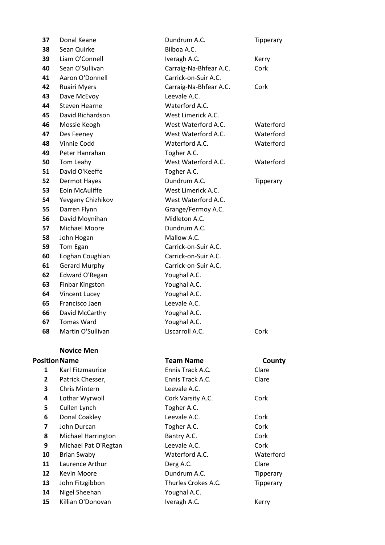| 37             | Donal Keane               | Dundrum A.C.           | Tipperary |
|----------------|---------------------------|------------------------|-----------|
| 38             | Sean Quirke               | Bilboa A.C.            |           |
| 39             | Liam O'Connell            | Iveragh A.C.           | Kerry     |
| 40             | Sean O'Sullivan           | Carraig-Na-Bhfear A.C. | Cork      |
| 41             | Aaron O'Donnell           | Carrick-on-Suir A.C.   |           |
| 42             | <b>Ruairi Myers</b>       | Carraig-Na-Bhfear A.C. | Cork      |
| 43             | Dave McEvoy               | Leevale A.C.           |           |
| 44             | Steven Hearne             | Waterford A.C.         |           |
| 45             | David Richardson          | West Limerick A.C.     |           |
| 46             | Mossie Keogh              | West Waterford A.C.    | Waterford |
| 47             | Des Feeney                | West Waterford A.C.    | Waterford |
| 48             | Vinnie Codd               | Waterford A.C.         | Waterford |
| 49             | Peter Hanrahan            | Togher A.C.            |           |
| 50             | Tom Leahy                 | West Waterford A.C.    | Waterford |
| 51             | David O'Keeffe            | Togher A.C.            |           |
| 52             | <b>Dermot Hayes</b>       | Dundrum A.C.           | Tipperary |
| 53             | Eoin McAuliffe            | West Limerick A.C.     |           |
| 54             | Yevgeny Chizhikov         | West Waterford A.C.    |           |
| 55             | Darren Flynn              | Grange/Fermoy A.C.     |           |
| 56             | David Moynihan            | Midleton A.C.          |           |
| 57             | Michael Moore             | Dundrum A.C.           |           |
| 58             | John Hogan                | Mallow A.C.            |           |
| 59             | Tom Egan                  | Carrick-on-Suir A.C.   |           |
| 60             | Eoghan Coughlan           | Carrick-on-Suir A.C.   |           |
| 61             | <b>Gerard Murphy</b>      | Carrick-on-Suir A.C.   |           |
| 62             | Edward O'Regan            | Youghal A.C.           |           |
| 63             | <b>Finbar Kingston</b>    | Youghal A.C.           |           |
| 64             | <b>Vincent Lucey</b>      | Youghal A.C.           |           |
| 65             | Francisco Jaen            | Leevale A.C.           |           |
| 66             | David McCarthy            | Youghal A.C.           |           |
| 67             | <b>Tomas Ward</b>         | Youghal A.C.           |           |
| 68             | Martin O'Sullivan         | Liscarroll A.C.        | Cork      |
|                | <b>Novice Men</b>         |                        |           |
|                | <b>Position Name</b>      | <b>Team Name</b>       | County    |
| 1              | <b>Karl Fitzmaurice</b>   | Ennis Track A.C.       | Clare     |
| $\overline{2}$ | Patrick Chesser,          | Ennis Track A.C.       | Clare     |
| 3              | <b>Chris Mintern</b>      | Leevale A.C.           |           |
| 4              | Lothar Wyrwoll            | Cork Varsity A.C.      | Cork      |
| 5              | Cullen Lynch              | Togher A.C.            |           |
| 6              | Donal Coakley             | Leevale A.C.           | Cork      |
| 7              | John Durcan               | Togher A.C.            | Cork      |
| 8              | <b>Michael Harrington</b> | Bantry A.C.            | Cork      |
| 9              | Michael Pat O'Regtan      | Leevale A.C.           | Cork      |
| 10             | <b>Brian Swaby</b>        | Waterford A.C.         | Waterford |
| 11             | Laurence Arthur           | Derg A.C.              | Clare     |
| 12             | Kevin Moore               | Dundrum A.C.           | Tipperary |
| 13             | John Fitzgibbon           | Thurles Crokes A.C.    | Tipperary |
| 14             | Nigel Sheehan             | Youghal A.C.           |           |
| 15             | Killian O'Donovan         | Iveragh A.C.           | Kerry     |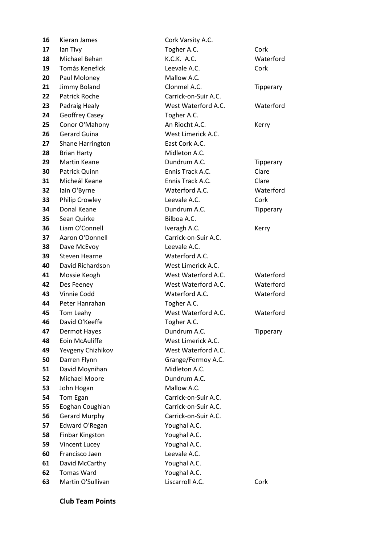| 16 | Kieran James         | Cork Varsity A.C.    |           |
|----|----------------------|----------------------|-----------|
| 17 | lan Tivy             | Togher A.C.          | Cork      |
| 18 | Michael Behan        | K.C.K. A.C.          | Waterford |
| 19 | Tomás Kenefick       | Leevale A.C.         | Cork      |
| 20 | Paul Moloney         | Mallow A.C.          |           |
| 21 | Jimmy Boland         | Clonmel A.C.         | Tipperary |
| 22 | <b>Patrick Roche</b> | Carrick-on-Suir A.C. |           |
| 23 | Padraig Healy        | West Waterford A.C.  | Waterford |
| 24 | Geoffrey Casey       | Togher A.C.          |           |
| 25 | Conor O'Mahony       | An Riocht A.C.       | Kerry     |
| 26 | <b>Gerard Guina</b>  | West Limerick A.C.   |           |
| 27 | Shane Harrington     | East Cork A.C.       |           |
| 28 | <b>Brian Harty</b>   | Midleton A.C.        |           |
| 29 | Martin Keane         | Dundrum A.C.         | Tipperary |
| 30 | Patrick Quinn        | Ennis Track A.C.     | Clare     |
| 31 | Micheál Keane        | Ennis Track A.C.     | Clare     |
| 32 | Iain O'Byrne         | Waterford A.C.       | Waterford |
| 33 | Philip Crowley       | Leevale A.C.         | Cork      |
| 34 | Donal Keane          | Dundrum A.C.         | Tipperary |
| 35 | Sean Quirke          | Bilboa A.C.          |           |
| 36 | Liam O'Connell       | Iveragh A.C.         | Kerry     |
| 37 | Aaron O'Donnell      | Carrick-on-Suir A.C. |           |
| 38 | Dave McEvoy          | Leevale A.C.         |           |
| 39 | Steven Hearne        | Waterford A.C.       |           |
| 40 | David Richardson     | West Limerick A.C.   |           |
| 41 | Mossie Keogh         | West Waterford A.C.  | Waterford |
| 42 | Des Feeney           | West Waterford A.C.  | Waterford |
| 43 | Vinnie Codd          | Waterford A.C.       | Waterford |
| 44 | Peter Hanrahan       | Togher A.C.          |           |
| 45 | Tom Leahy            | West Waterford A.C.  | Waterford |
| 46 | David O'Keeffe       | Togher A.C.          |           |
| 47 | <b>Dermot Hayes</b>  | Dundrum A.C.         | Tipperary |
| 48 | Eoin McAuliffe       | West Limerick A.C.   |           |
| 49 | Yevgeny Chizhikov    | West Waterford A.C.  |           |
| 50 | Darren Flynn         | Grange/Fermoy A.C.   |           |
| 51 | David Moynihan       | Midleton A.C.        |           |
| 52 | Michael Moore        | Dundrum A.C.         |           |
| 53 | John Hogan           | Mallow A.C.          |           |
| 54 | Tom Egan             | Carrick-on-Suir A.C. |           |
| 55 | Eoghan Coughlan      | Carrick-on-Suir A.C. |           |
| 56 | <b>Gerard Murphy</b> | Carrick-on-Suir A.C. |           |
| 57 | Edward O'Regan       | Youghal A.C.         |           |
| 58 | Finbar Kingston      | Youghal A.C.         |           |
| 59 | Vincent Lucey        | Youghal A.C.         |           |
| 60 | Francisco Jaen       | Leevale A.C.         |           |
| 61 | David McCarthy       | Youghal A.C.         |           |
| 62 | <b>Tomas Ward</b>    | Youghal A.C.         |           |
| 63 | Martin O'Sullivan    | Liscarroll A.C.      | Cork      |

**Club Team Points**